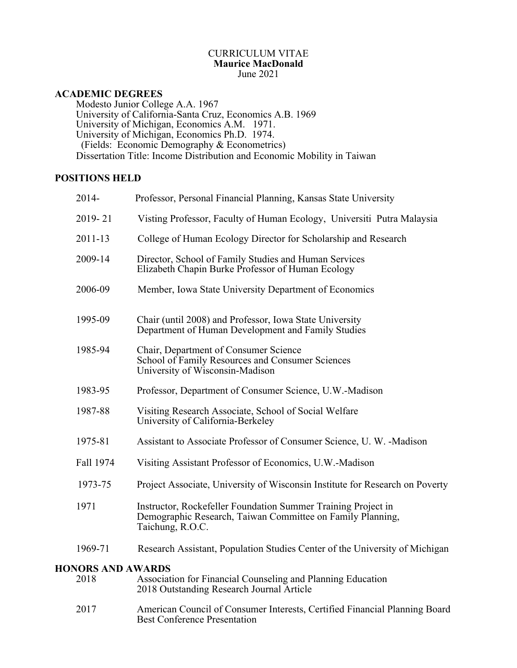# CURRICULUM VITAE **Maurice MacDonald**<br>June 2021 June 2021

# **ACADEMIC DEGREES**

Modesto Junior College A.A. 1967 University of California-Santa Cruz, Economics A.B. 1969 University of Michigan, Economics A.M. 1971.<br>University of Michigan, Economics Ph.D. 1974. (Fields: Economic Demography & Econometrics) Dissertation Title: Income Distribution and Economic Mobility in Taiwan

# **POSITIONS HELD**

| $2014 -$                         | Professor, Personal Financial Planning, Kansas State University                                                                                 |
|----------------------------------|-------------------------------------------------------------------------------------------------------------------------------------------------|
| 2019-21                          | Visting Professor, Faculty of Human Ecology, Universiti Putra Malaysia                                                                          |
| $2011 - 13$                      | College of Human Ecology Director for Scholarship and Research                                                                                  |
| 2009-14                          | Director, School of Family Studies and Human Services<br>Elizabeth Chapin Burke Professor of Human Ecology                                      |
| 2006-09                          | Member, Iowa State University Department of Economics                                                                                           |
| 1995-09                          | Chair (until 2008) and Professor, Iowa State University<br>Department of Human Development and Family Studies                                   |
| 1985-94                          | Chair, Department of Consumer Science<br>School of Family Resources and Consumer Sciences<br>University of Wisconsin-Madison                    |
| 1983-95                          | Professor, Department of Consumer Science, U.W.-Madison                                                                                         |
| 1987-88                          | Visiting Research Associate, School of Social Welfare<br>University of California-Berkeley                                                      |
| 1975-81                          | Assistant to Associate Professor of Consumer Science, U.W. - Madison                                                                            |
| Fall 1974                        | Visiting Assistant Professor of Economics, U.W.-Madison                                                                                         |
| 1973-75                          | Project Associate, University of Wisconsin Institute for Research on Poverty                                                                    |
| 1971                             | Instructor, Rockefeller Foundation Summer Training Project in<br>Demographic Research, Taiwan Committee on Family Planning,<br>Taichung, R.O.C. |
| 1969-71                          | Research Assistant, Population Studies Center of the University of Michigan                                                                     |
| <b>HONORS AND AWARDS</b><br>2018 | Association for Financial Counseling and Planning Education<br>2018 Outstanding Research Journal Article                                        |
| 2017                             | American Council of Consumer Interests, Certified Financial Planning Board<br><b>Best Conference Presentation</b>                               |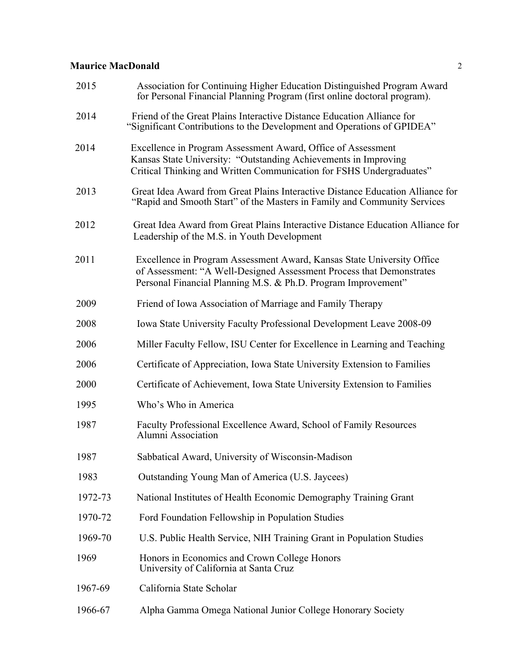| 2015    | Association for Continuing Higher Education Distinguished Program Award<br>for Personal Financial Planning Program (first online doctoral program).                                                             |
|---------|-----------------------------------------------------------------------------------------------------------------------------------------------------------------------------------------------------------------|
| 2014    | Friend of the Great Plains Interactive Distance Education Alliance for<br>"Significant Contributions to the Development and Operations of GPIDEA"                                                               |
| 2014    | Excellence in Program Assessment Award, Office of Assessment<br>Kansas State University: "Outstanding Achievements in Improving<br>Critical Thinking and Written Communication for FSHS Undergraduates"         |
| 2013    | Great Idea Award from Great Plains Interactive Distance Education Alliance for<br>"Rapid and Smooth Start" of the Masters in Family and Community Services                                                      |
| 2012    | Great Idea Award from Great Plains Interactive Distance Education Alliance for<br>Leadership of the M.S. in Youth Development                                                                                   |
| 2011    | Excellence in Program Assessment Award, Kansas State University Office<br>of Assessment: "A Well-Designed Assessment Process that Demonstrates<br>Personal Financial Planning M.S. & Ph.D. Program Improvement" |
| 2009    | Friend of Iowa Association of Marriage and Family Therapy                                                                                                                                                       |
| 2008    | Iowa State University Faculty Professional Development Leave 2008-09                                                                                                                                            |
| 2006    | Miller Faculty Fellow, ISU Center for Excellence in Learning and Teaching                                                                                                                                       |
| 2006    | Certificate of Appreciation, Iowa State University Extension to Families                                                                                                                                        |
| 2000    | Certificate of Achievement, Iowa State University Extension to Families                                                                                                                                         |
| 1995    | Who's Who in America                                                                                                                                                                                            |
| 1987    | Faculty Professional Excellence Award, School of Family Resources<br>Alumni Association                                                                                                                         |
| 1987    | Sabbatical Award, University of Wisconsin-Madison                                                                                                                                                               |
| 1983    | Outstanding Young Man of America (U.S. Jaycees)                                                                                                                                                                 |
| 1972-73 | National Institutes of Health Economic Demography Training Grant                                                                                                                                                |
| 1970-72 | Ford Foundation Fellowship in Population Studies                                                                                                                                                                |
| 1969-70 | U.S. Public Health Service, NIH Training Grant in Population Studies                                                                                                                                            |
| 1969    | Honors in Economics and Crown College Honors<br>University of California at Santa Cruz                                                                                                                          |
| 1967-69 | California State Scholar                                                                                                                                                                                        |
| 1966-67 | Alpha Gamma Omega National Junior College Honorary Society                                                                                                                                                      |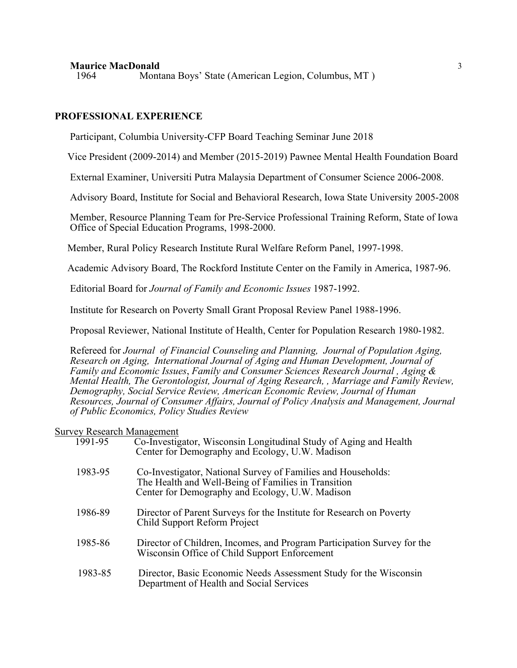1964 Montana Boys' State (American Legion, Columbus, MT )

# **PROFESSIONAL EXPERIENCE**

Participant, Columbia University-CFP Board Teaching Seminar June 2018

Vice President (2009-2014) and Member (2015-2019) Pawnee Mental Health Foundation Board

External Examiner, Universiti Putra Malaysia Department of Consumer Science 2006-2008.

Advisory Board, Institute for Social and Behavioral Research, Iowa State University 2005-2008

 Member, Resource Planning Team for Pre-Service Professional Training Reform, State of Iowa Office of Special Education Programs, 1998-2000.

Member, Rural Policy Research Institute Rural Welfare Reform Panel, 1997-1998.

Academic Advisory Board, The Rockford Institute Center on the Family in America, 1987-96.

Editorial Board for *Journal of Family and Economic Issues* 1987-1992.

Institute for Research on Poverty Small Grant Proposal Review Panel 1988-1996.

Proposal Reviewer, National Institute of Health, Center for Population Research 1980-1982.

Refereed for *Journal of Financial Counseling and Planning, Journal of Population Aging, Research on Aging, International Journal of Aging and Human Development, Journal of Family and Economic Issues*, *Family and Consumer Sciences Research Journal , Aging & Mental Health, The Gerontologist, Journal of Aging Research, , Marriage and Family Review, Demography, Social Service Review, American Economic Review, Journal of Human Resources, Journal of Consumer Affairs, Journal of Policy Analysis and Management, Journal of Public Economics, Policy Studies Review*

#### Survey Research Management

| 1991-95 | Co-Investigator, Wisconsin Longitudinal Study of Aging and Health<br>Center for Demography and Ecology, U.W. Madison                                                   |
|---------|------------------------------------------------------------------------------------------------------------------------------------------------------------------------|
| 1983-95 | Co-Investigator, National Survey of Families and Households:<br>The Health and Well-Being of Families in Transition<br>Center for Demography and Ecology, U.W. Madison |
| 1986-89 | Director of Parent Surveys for the Institute for Research on Poverty<br>Child Support Reform Project                                                                   |
| 1985-86 | Director of Children, Incomes, and Program Participation Survey for the<br>Wisconsin Office of Child Support Enforcement                                               |
| 1983-85 | Director, Basic Economic Needs Assessment Study for the Wisconsin<br>Department of Health and Social Services                                                          |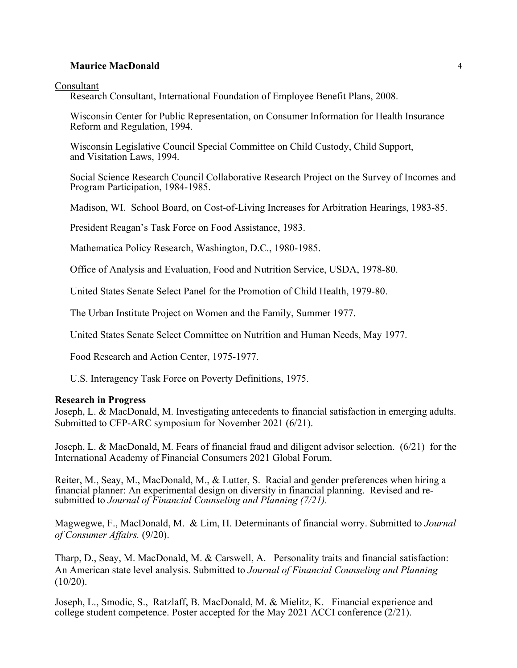Consultant

Research Consultant, International Foundation of Employee Benefit Plans, 2008.

Wisconsin Center for Public Representation, on Consumer Information for Health Insurance Reform and Regulation, 1994.

Wisconsin Legislative Council Special Committee on Child Custody, Child Support, and Visitation Laws, 1994.

 Social Science Research Council Collaborative Research Project on the Survey of Incomes and Program Participation, 1984-1985.

Madison, WI. School Board, on Cost-of-Living Increases for Arbitration Hearings, 1983-85.

President Reagan's Task Force on Food Assistance, 1983.

Mathematica Policy Research, Washington, D.C., 1980-1985.

Office of Analysis and Evaluation, Food and Nutrition Service, USDA, 1978-80.

United States Senate Select Panel for the Promotion of Child Health, 1979-80.

The Urban Institute Project on Women and the Family, Summer 1977.

United States Senate Select Committee on Nutrition and Human Needs, May 1977.

Food Research and Action Center, 1975-1977.

U.S. Interagency Task Force on Poverty Definitions, 1975.

# **Research in Progress**

Joseph, L. & MacDonald, M. Investigating antecedents to financial satisfaction in emerging adults. Submitted to CFP-ARC symposium for November 2021 (6/21).

Joseph, L. & MacDonald, M. Fears of financial fraud and diligent advisor selection. (6/21) for the International Academy of Financial Consumers 2021 Global Forum.

Reiter, M., Seay, M., MacDonald, M., & Lutter, S. Racial and gender preferences when hiring a financial planner: An experimental design on diversity in financial planning. Revised and resubmitted to *Journal of Financial Counseling and Planning (7/21).*

Magwegwe, F., MacDonald, M. & Lim, H. Determinants of financial worry. Submitted to *Journal of Consumer Affairs.* (9/20).

Tharp, D., Seay, M. MacDonald, M. & Carswell, A. Personality traits and financial satisfaction: An American state level analysis. Submitted to *Journal of Financial Counseling and Planning*  $(10/20)$ .

Joseph, L., Smodic, S., Ratzlaff, B. MacDonald, M. & Mielitz, K. Financial experience and college student competence. Poster accepted for the May 2021 ACCI conference (2/21).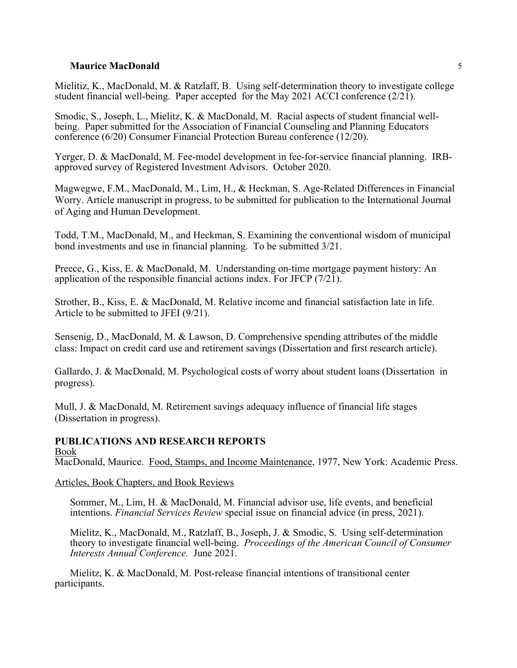Mielitiz, K., MacDonald, M. & Ratzlaff, B. Using self-determination theory to investigate college student financial well-being. Paper accepted for the May 2021 ACCI conference  $(2/21)$ .

Smodic, S., Joseph, L., Mielitz, K. & MacDonald, M. Racial aspects of student financial wellbeing. Paper submitted for the Association of Financial Counseling and Planning Educators conference (6/20) Consumer Financial Protection Bureau conference (12/20).

Yerger, D. & MacDonald, M. Fee-model development in fee-for-service financial planning. IRBapproved survey of Registered Investment Advisors. October 2020.

Magwegwe, F.M., MacDonald, M., Lim, H., & Heckman, S. Age-Related Differences in Financial Worry. Article manuscript in progress, to be submitted for publication to the International Journal of Aging and Human Development.

Todd, T.M., MacDonald, M., and Heckman, S. Examining the conventional wisdom of municipal bond investments and use in financial planning. To be submitted 3/21.

Preece, G., Kiss, E. & MacDonald, M. Understanding on-time mortgage payment history: An application of the responsible financial actions index. For JFCP  $(7/21)$ .

Strother, B., Kiss, E. & MacDonald, M. Relative income and financial satisfaction late in life. Article to be submitted to JFEI (9/21).

Sensenig, D., MacDonald, M. & Lawson, D. Comprehensive spending attributes of the middle class: Impact on credit card use and retirement savings (Dissertation and first research article).

Gallardo, J. & MacDonald, M. Psychological costs of worry about student loans (Dissertation in progress).

Mull, J. & MacDonald, M. Retirement savings adequacy influence of financial life stages (Dissertation in progress).

#### **PUBLICATIONS AND RESEARCH REPORTS** Book

MacDonald, Maurice. Food, Stamps, and Income Maintenance, 1977, New York: Academic Press.

# Articles, Book Chapters, and Book Reviews

Sommer, M., Lim, H. & MacDonald, M. Financial advisor use, life events, and beneficial intentions. *Financial Services Review* special issue on financial advice (in press, 2021).

Mielitz, K., MacDonald, M., Ratzlaff, B., Joseph, J. & Smodic, S. Using self-determination theory to investigate financial well-being. *Proceedings of the American Council of Consumer Interests Annual Conference.* June 2021.

Mielitz, K. & MacDonald, M. Post-release financial intentions of transitional center participants.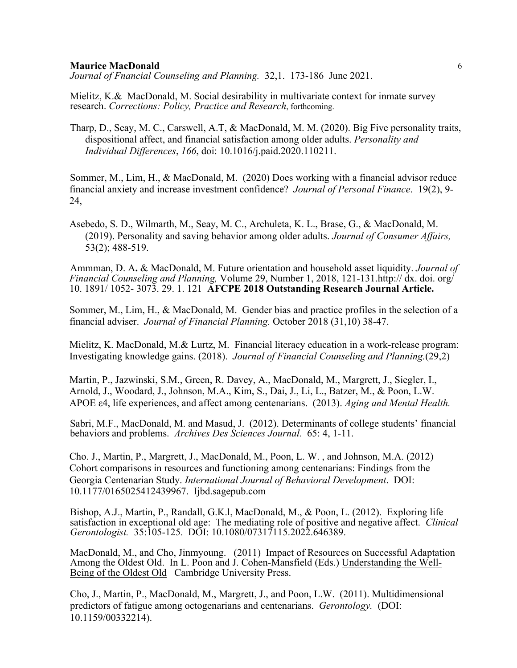*Journal of Fnancial Counseling and Planning.* 32,1. 173-186 June 2021.

Mielitz, K.& MacDonald, M. Social desirability in multivariate context for inmate survey research. *Corrections: Policy, Practice and Research*, forthcoming.

Tharp, D., Seay, M. C., Carswell, A.T, & MacDonald, M. M. (2020). Big Five personality traits, dispositional affect, and financial satisfaction among older adults. *Personality and Individual Differences*, *166*, doi: 10.1016/j.paid.2020.110211.

Sommer, M., Lim, H., & MacDonald, M. (2020) Does working with a financial advisor reduce financial anxiety and increase investment confidence? *Journal of Personal Finance*. 19(2), 9- 24,

Asebedo, S. D., Wilmarth, M., Seay, M. C., Archuleta, K. L., Brase, G., & MacDonald, M. (2019). Personality and saving behavior among older adults. *Journal of Consumer Affairs,*  53(2); 488-519.

Ammman, D. A**.** & MacDonald, M. Future orientation and household asset liquidity. *Journal of Financial Counseling and Planning,* Volume 29, Number 1, 2018, 121-131.http:// dx. doi. org/ 10. 1891/ 1052- 3073. 29. 1. 121 **AFCPE 2018 Outstanding Research Journal Article.**

Sommer, M., Lim, H., & MacDonald, M. Gender bias and practice profiles in the selection of a financial adviser. *Journal of Financial Planning.* October 2018 (31,10) 38-47.

Mielitz, K. MacDonald, M.& Lurtz, M. Financial literacy education in a work-release program: Investigating knowledge gains. (2018). *Journal of Financial Counseling and Planning.*(29,2)

Martin, P., Jazwinski, S.M., Green, R. Davey, A., MacDonald, M., Margrett, J., Siegler, I., Arnold, J., Woodard, J., Johnson, M.A., Kim, S., Dai, J., Li, L., Batzer, M., & Poon, L.W. APOE ε4, life experiences, and affect among centenarians. (2013). *Aging and Mental Health.* 

Sabri, M.F., MacDonald, M. and Masud, J. (2012). Determinants of college students' financial behaviors and problems. *Archives Des Sciences Journal.* 65: 4, 1-11.

Cho. J., Martin, P., Margrett, J., MacDonald, M., Poon, L. W. , and Johnson, M.A. (2012) Cohort comparisons in resources and functioning among centenarians: Findings from the Georgia Centenarian Study. *International Journal of Behavioral Development*. DOI: 10.1177/0165025412439967. Ijbd.sagepub.com

Bishop, A.J., Martin, P., Randall, G.K.l, MacDonald, M., & Poon, L. (2012). Exploring life satisfaction in exceptional old age: The mediating role of positive and negative affect. *Clinical Gerontologist.* 35:105-125. DOI: 10.1080/07317115.2022.646389.

MacDonald, M., and Cho, Jinmyoung. (2011) Impact of Resources on Successful Adaptation Among the Oldest Old. In L. Poon and J. Cohen-Mansfield (Eds.) Understanding the Well- Being of the Oldest Old Cambridge University Press.

Cho, J., Martin, P., MacDonald, M., Margrett, J., and Poon, L.W. (2011). Multidimensional predictors of fatigue among octogenarians and centenarians. *Gerontology.* (DOI: 10.1159/00332214).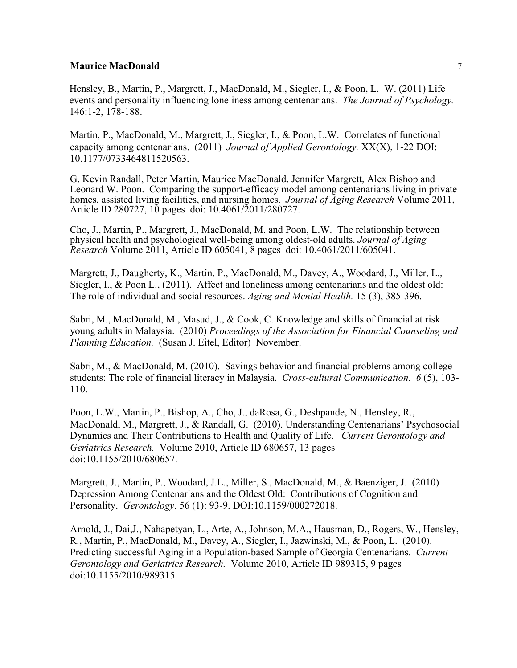Hensley, B., Martin, P., Margrett, J., MacDonald, M., Siegler, I., & Poon, L. W. (2011) Life events and personality influencing loneliness among centenarians. *The Journal of Psychology.*  146:1-2, 178-188.

Martin, P., MacDonald, M., Margrett, J., Siegler, I., & Poon, L.W. Correlates of functional capacity among centenarians. (2011) *Journal of Applied Gerontology.* XX(X), 1-22 DOI: 10.1177/0733464811520563.

G. Kevin Randall, Peter Martin, Maurice MacDonald, Jennifer Margrett, Alex Bishop and Leonard W. Poon. Comparing the support-efficacy model among centenarians living in private homes, assisted living facilities, and nursing homes. *Journal of Aging Research* Volume 2011, Article ID 280727, 10 pages doi: 10.4061/2011/280727.

Cho, J., Martin, P., Margrett, J., MacDonald, M. and Poon, L.W. The relationship between physical health and psychological well-being among oldest-old adults. *Journal of Aging Research* Volume 2011, Article ID 605041, 8 pages doi: 10.4061/2011/605041.

Margrett, J., Daugherty, K., Martin, P., MacDonald, M., Davey, A., Woodard, J., Miller, L., Siegler, I., & Poon L., (2011). Affect and loneliness among centenarians and the oldest old: The role of individual and social resources. *Aging and Mental Health.* 15 (3), 385-396.

Sabri, M., MacDonald, M., Masud, J., & Cook, C. Knowledge and skills of financial at risk young adults in Malaysia. (2010) *Proceedings of the Association for Financial Counseling and Planning Education.* (Susan J. Eitel, Editor) November.

Sabri, M., & MacDonald, M. (2010). Savings behavior and financial problems among college students: The role of financial literacy in Malaysia. *Cross-cultural Communication. 6* (5), 103- 110.

Poon, L.W., Martin, P., Bishop, A., Cho, J., daRosa, G., Deshpande, N., Hensley, R., MacDonald, M., Margrett, J., & Randall, G. (2010). Understanding Centenarians' Psychosocial Dynamics and Their Contributions to Health and Quality of Life. *Current Gerontology and Geriatrics Research.* Volume 2010, Article ID 680657, 13 pages doi:10.1155/2010/680657.

Margrett, J., Martin, P., Woodard, J.L., Miller, S., MacDonald, M., & Baenziger, J. (2010) Depression Among Centenarians and the Oldest Old: Contributions of Cognition and Personality. *Gerontology.* 56 (1): 93-9. DOI:10.1159/000272018.

Arnold, J., Dai,J., Nahapetyan, L., Arte, A., Johnson, M.A., Hausman, D., Rogers, W., Hensley, R., Martin, P., MacDonald, M., Davey, A., Siegler, I., Jazwinski, M., & Poon, L. (2010). Predicting successful Aging in a Population-based Sample of Georgia Centenarians. *Current Gerontology and Geriatrics Research.* Volume 2010, Article ID 989315, 9 pages doi:10.1155/2010/989315.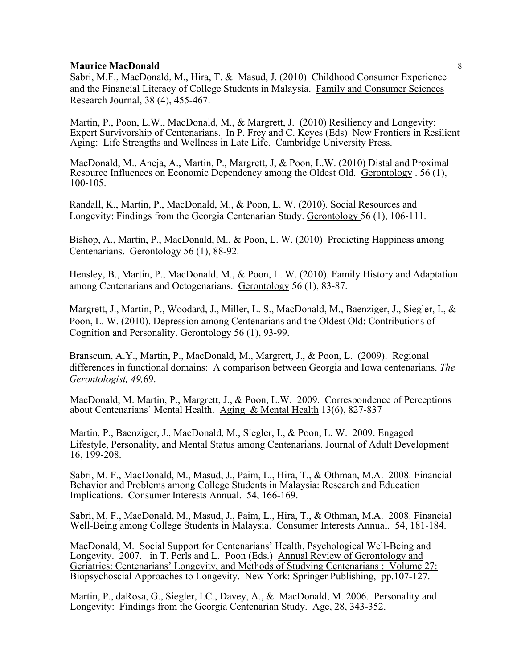Sabri, M.F., MacDonald, M., Hira, T. & Masud, J. (2010) Childhood Consumer Experience and the Financial Literacy of College Students in Malaysia. Family and Consumer Sciences Research Journal, 38 (4), 455-467.

Martin, P., Poon, L.W., MacDonald, M., & Margrett, J. (2010) Resiliency and Longevity: Expert Survivorship of Centenarians. In P. Frey and C. Keyes (Eds) New Frontiers in Resilient Aging: Life Strengths and Wellness in Late Life. Cambridge University Press.

MacDonald, M., Aneja, A., Martin, P., Margrett, J, & Poon, L.W. (2010) Distal and Proximal Resource Influences on Economic Dependency among the Oldest Old. Gerontology . 56 (1), 100-105.

Randall, K., Martin, P., MacDonald, M., & Poon, L. W. (2010). Social Resources and Longevity: Findings from the Georgia Centenarian Study. Gerontology 56 (1), 106-111.

Bishop, A., Martin, P., MacDonald, M., & Poon, L. W. (2010) Predicting Happiness among Centenarians. Gerontology 56 (1), 88-92.

Hensley, B., Martin, P., MacDonald, M., & Poon, L. W. (2010). Family History and Adaptation among Centenarians and Octogenarians. Gerontology 56 (1), 83-87.

Margrett, J., Martin, P., Woodard, J., Miller, L. S., MacDonald, M., Baenziger, J., Siegler, I., & Poon, L. W. (2010). Depression among Centenarians and the Oldest Old: Contributions of Cognition and Personality. Gerontology 56 (1), 93-99.

Branscum, A.Y., Martin, P., MacDonald, M., Margrett, J., & Poon, L. (2009). Regional differences in functional domains: A comparison between Georgia and Iowa centenarians. *The Gerontologist, 49,*69.

MacDonald, M. Martin, P., Margrett, J., & Poon, L.W. 2009. Correspondence of Perceptions about Centenarians' Mental Health. Aging & Mental Health 13(6), 827-837

Martin, P., Baenziger, J., MacDonald, M., Siegler, I., & Poon, L. W. 2009. Engaged Lifestyle, Personality, and Mental Status among Centenarians. Journal of Adult Development 16, 199-208.

Sabri, M. F., MacDonald, M., Masud, J., Paim, L., Hira, T., & Othman, M.A. 2008. Financial Behavior and Problems among College Students in Malaysia: Research and Education Implications. Consumer Interests Annual. 54, 166-169.

Sabri, M. F., MacDonald, M., Masud, J., Paim, L., Hira, T., & Othman, M.A. 2008. Financial Well-Being among College Students in Malaysia. Consumer Interests Annual. 54, 181-184.

MacDonald, M. Social Support for Centenarians' Health, Psychological Well-Being and Longevity. 2007. in T. Perls and L. Poon (Eds.) Annual Review of Gerontology and Geriatrics: Centenarians' Longevity, and Methods of Studying Centenarians : Volume 27: Biopsychoscial Approaches to Longevity. New York: Springer Publishing, pp.107-127.

Martin, P., daRosa, G., Siegler, I.C., Davey, A., & MacDonald, M. 2006. Personality and Longevity: Findings from the Georgia Centenarian Study. Age, 28, 343-352.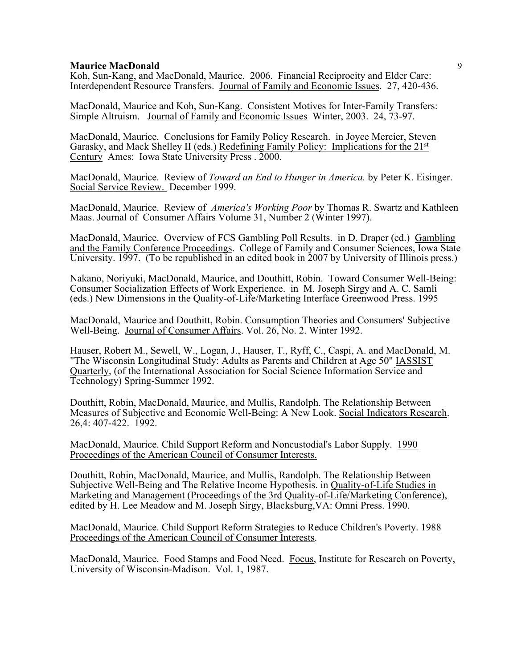Koh, Sun-Kang, and MacDonald, Maurice. 2006. Financial Reciprocity and Elder Care: Interdependent Resource Transfers. Journal of Family and Economic Issues. 27, 420-436.

MacDonald, Maurice and Koh, Sun-Kang. Consistent Motives for Inter-Family Transfers: Simple Altruism. Journal of Family and Economic Issues Winter, 2003. 24, 73-97.

MacDonald, Maurice. Conclusions for Family Policy Research. in Joyce Mercier, Steven Garasky, and Mack Shelley II (eds.) Redefining Family Policy: Implications for the 21st Century Ames: Iowa State University Press . 2000.

MacDonald, Maurice. Review of *Toward an End to Hunger in America.* by Peter K. Eisinger. Social Service Review. December 1999.

MacDonald, Maurice. Review of *America's Working Poor* by Thomas R. Swartz and Kathleen Maas. Journal of Consumer Affairs Volume 31, Number 2 (Winter 1997).

MacDonald, Maurice. Overview of FCS Gambling Poll Results. in D. Draper (ed.) Gambling and the Family Conference Proceedings. College of Family and Consumer Sciences, Iowa State University. 1997. (To be republished in an edited book in 2007 by University of Illinois press.)

Nakano, Noriyuki, MacDonald, Maurice, and Douthitt, Robin. Toward Consumer Well-Being: Consumer Socialization Effects of Work Experience. in M. Joseph Sirgy and A. C. Samli (eds.) New Dimensions in the Quality-of-Life/Marketing Interface Greenwood Press. 1995

MacDonald, Maurice and Douthitt, Robin. Consumption Theories and Consumers' Subjective Well-Being. Journal of Consumer Affairs. Vol. 26, No. 2. Winter 1992.

Hauser, Robert M., Sewell, W., Logan, J., Hauser, T., Ryff, C., Caspi, A. and MacDonald, M. "The Wisconsin Longitudinal Study: Adults as Parents and Children at Age 50" IASSIST Quarterly, (of the International Association for Social Science Information Service and Technology) Spring-Summer 1992.

Douthitt, Robin, MacDonald, Maurice, and Mullis, Randolph. The Relationship Between Measures of Subjective and Economic Well-Being: A New Look. Social Indicators Research. 26,4: 407-422. 1992.

MacDonald, Maurice. Child Support Reform and Noncustodial's Labor Supply. 1990 Proceedings of the American Council of Consumer Interests.

Douthitt, Robin, MacDonald, Maurice, and Mullis, Randolph. The Relationship Between Subjective Well-Being and The Relative Income Hypothesis. in Quality-of-Life Studies in Marketing and Management (Proceedings of the 3rd Quality-of-Life/Marketing Conference), edited by H. Lee Meadow and M. Joseph Sirgy, Blacksburg,VA: Omni Press. 1990.

MacDonald, Maurice. Child Support Reform Strategies to Reduce Children's Poverty. 1988 Proceedings of the American Council of Consumer Interests.

MacDonald, Maurice. Food Stamps and Food Need. Focus, Institute for Research on Poverty, University of Wisconsin-Madison. Vol. 1, 1987.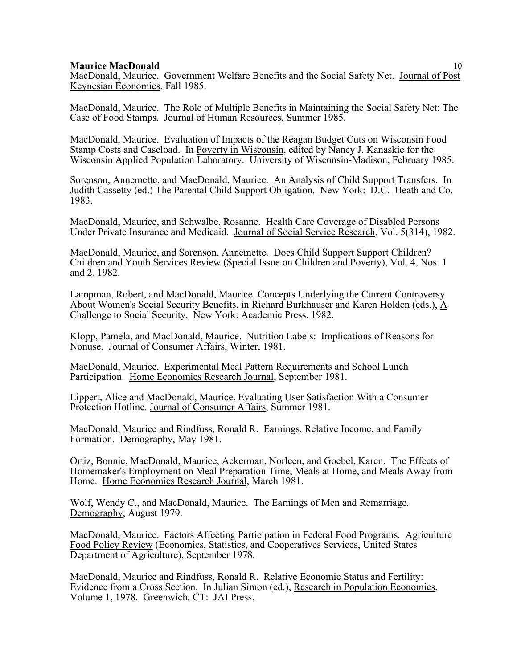MacDonald, Maurice. Government Welfare Benefits and the Social Safety Net. Journal of Post Keynesian Economics, Fall 1985.

MacDonald, Maurice. The Role of Multiple Benefits in Maintaining the Social Safety Net: The Case of Food Stamps. Journal of Human Resources, Summer 1985.

MacDonald, Maurice. Evaluation of Impacts of the Reagan Budget Cuts on Wisconsin Food Stamp Costs and Caseload. In Poverty in Wisconsin, edited by Nancy J. Kanaskie for the Wisconsin Applied Population Laboratory. University of Wisconsin-Madison, February 1985.

Sorenson, Annemette, and MacDonald, Maurice. An Analysis of Child Support Transfers. In Judith Cassetty (ed.) The Parental Child Support Obligation. New York: D.C. Heath and Co. 1983.

MacDonald, Maurice, and Schwalbe, Rosanne. Health Care Coverage of Disabled Persons Under Private Insurance and Medicaid. Journal of Social Service Research, Vol. 5(314), 1982.

MacDonald, Maurice, and Sorenson, Annemette. Does Child Support Support Children? Children and Youth Services Review (Special Issue on Children and Poverty), Vol. 4, Nos. 1 and 2, 1982.

Lampman, Robert, and MacDonald, Maurice. Concepts Underlying the Current Controversy About Women's Social Security Benefits, in Richard Burkhauser and Karen Holden (eds.), A Challenge to Social Security. New York: Academic Press. 1982.

Klopp, Pamela, and MacDonald, Maurice. Nutrition Labels: Implications of Reasons for Nonuse. Journal of Consumer Affairs, Winter, 1981.

MacDonald, Maurice. Experimental Meal Pattern Requirements and School Lunch Participation. Home Economics Research Journal, September 1981.

Lippert, Alice and MacDonald, Maurice. Evaluating User Satisfaction With a Consumer Protection Hotline. Journal of Consumer Affairs, Summer 1981.

MacDonald, Maurice and Rindfuss, Ronald R. Earnings, Relative Income, and Family Formation. Demography, May 1981.

Ortiz, Bonnie, MacDonald, Maurice, Ackerman, Norleen, and Goebel, Karen. The Effects of Homemaker's Employment on Meal Preparation Time, Meals at Home, and Meals Away from Home. Home Economics Research Journal, March 1981.

Wolf, Wendy C., and MacDonald, Maurice. The Earnings of Men and Remarriage. Demography, August 1979.

MacDonald, Maurice. Factors Affecting Participation in Federal Food Programs. Agriculture Food Policy Review (Economics, Statistics, and Cooperatives Services, United States Department of Agriculture), September 1978.

MacDonald, Maurice and Rindfuss, Ronald R. Relative Economic Status and Fertility: Evidence from a Cross Section. In Julian Simon (ed.), Research in Population Economics, Volume 1, 1978. Greenwich, CT: JAI Press.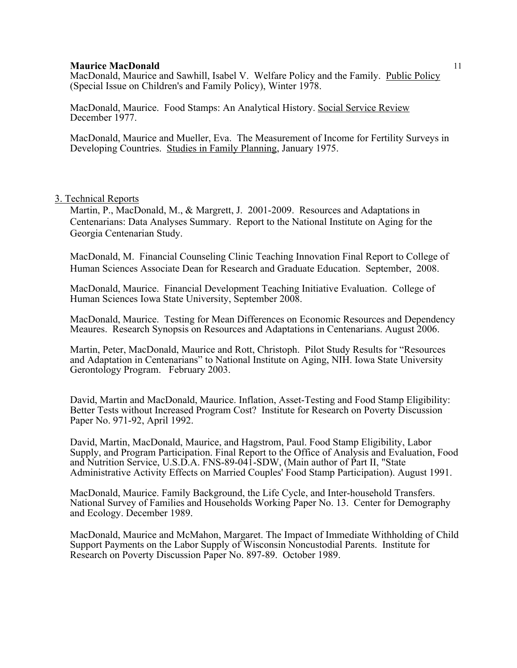MacDonald, Maurice and Sawhill, Isabel V. Welfare Policy and the Family. Public Policy (Special Issue on Children's and Family Policy), Winter 1978.

MacDonald, Maurice. Food Stamps: An Analytical History. Social Service Review December 1977.

MacDonald, Maurice and Mueller, Eva. The Measurement of Income for Fertility Surveys in Developing Countries. Studies in Family Planning, January 1975.

# 3. Technical Reports

Martin, P., MacDonald, M., & Margrett, J. 2001-2009. Resources and Adaptations in Centenarians: Data Analyses Summary. Report to the National Institute on Aging for the Georgia Centenarian Study.

MacDonald, M.Financial Counseling Clinic Teaching Innovation Final Report to College of Human Sciences Associate Dean for Research and Graduate Education. September, 2008.

MacDonald, Maurice. Financial Development Teaching Initiative Evaluation. College of Human Sciences Iowa State University, September 2008.

MacDonald, Maurice. Testing for Mean Differences on Economic Resources and Dependency Meaures. Research Synopsis on Resources and Adaptations in Centenarians. August 2006.

Martin, Peter, MacDonald, Maurice and Rott, Christoph. Pilot Study Results for "Resources and Adaptation in Centenarians" to National Institute on Aging, NIH. Iowa State University Gerontology Program. February 2003.

David, Martin and MacDonald, Maurice. Inflation, Asset-Testing and Food Stamp Eligibility: Better Tests without Increased Program Cost? Institute for Research on Poverty Discussion Paper No. 971-92, April 1992.

David, Martin, MacDonald, Maurice, and Hagstrom, Paul. Food Stamp Eligibility, Labor Supply, and Program Participation. Final Report to the Office of Analysis and Evaluation, Food and Nutrition Service, U.S.D.A. FNS-89-041-SDW, (Main author of Part II, "State Administrative Activity Effects on Married Couples' Food Stamp Participation). August 1991.

MacDonald, Maurice. Family Background, the Life Cycle, and Inter-household Transfers. National Survey of Families and Households Working Paper No. 13. Center for Demography and Ecology. December 1989.

MacDonald, Maurice and McMahon, Margaret. The Impact of Immediate Withholding of Child Support Payments on the Labor Supply of Wisconsin Noncustodial Parents. Institute for Research on Poverty Discussion Paper No. 897-89. October 1989.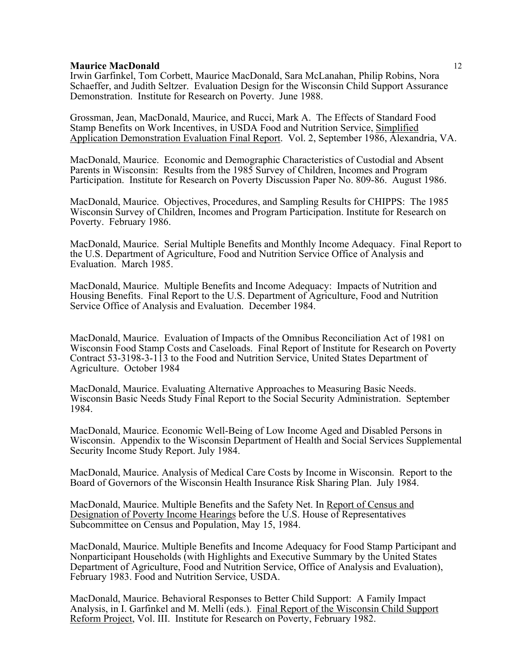Irwin Garfinkel, Tom Corbett, Maurice MacDonald, Sara McLanahan, Philip Robins, Nora Schaeffer, and Judith Seltzer. Evaluation Design for the Wisconsin Child Support Assurance Demonstration. Institute for Research on Poverty. June 1988.

Grossman, Jean, MacDonald, Maurice, and Rucci, Mark A. The Effects of Standard Food Stamp Benefits on Work Incentives, in USDA Food and Nutrition Service, Simplified Application Demonstration Evaluation Final Report. Vol. 2, September 1986, Alexandria, VA.

MacDonald, Maurice. Economic and Demographic Characteristics of Custodial and Absent Parents in Wisconsin: Results from the 1985 Survey of Children, Incomes and Program Participation. Institute for Research on Poverty Discussion Paper No. 809-86. August 1986.

MacDonald, Maurice. Objectives, Procedures, and Sampling Results for CHIPPS: The 1985 Wisconsin Survey of Children, Incomes and Program Participation. Institute for Research on Poverty. February 1986.

MacDonald, Maurice. Serial Multiple Benefits and Monthly Income Adequacy. Final Report to the U.S. Department of Agriculture, Food and Nutrition Service Office of Analysis and Evaluation. March 1985.

MacDonald, Maurice. Multiple Benefits and Income Adequacy: Impacts of Nutrition and Housing Benefits. Final Report to the U.S. Department of Agriculture, Food and Nutrition Service Office of Analysis and Evaluation. December 1984.

MacDonald, Maurice. Evaluation of Impacts of the Omnibus Reconciliation Act of 1981 on Wisconsin Food Stamp Costs and Caseloads. Final Report of Institute for Research on Poverty Contract 53-3198-3-113 to the Food and Nutrition Service, United States Department of Agriculture. October 1984

MacDonald, Maurice. Evaluating Alternative Approaches to Measuring Basic Needs. Wisconsin Basic Needs Study Final Report to the Social Security Administration. September 1984.

MacDonald, Maurice. Economic Well-Being of Low Income Aged and Disabled Persons in Wisconsin. Appendix to the Wisconsin Department of Health and Social Services Supplemental Security Income Study Report. July 1984.

MacDonald, Maurice. Analysis of Medical Care Costs by Income in Wisconsin. Report to the Board of Governors of the Wisconsin Health Insurance Risk Sharing Plan. July 1984.

MacDonald, Maurice. Multiple Benefits and the Safety Net. In Report of Census and Designation of Poverty Income Hearings before the U.S. House of Representatives Subcommittee on Census and Population, May 15, 1984.

MacDonald, Maurice. Multiple Benefits and Income Adequacy for Food Stamp Participant and Nonparticipant Households (with Highlights and Executive Summary by the United States Department of Agriculture, Food and Nutrition Service, Office of Analysis and Evaluation), February 1983. Food and Nutrition Service, USDA.

MacDonald, Maurice. Behavioral Responses to Better Child Support: A Family Impact Analysis, in I. Garfinkel and M. Melli (eds.). Final Report of the Wisconsin Child Support Reform Project, Vol. III. Institute for Research on Poverty, February 1982.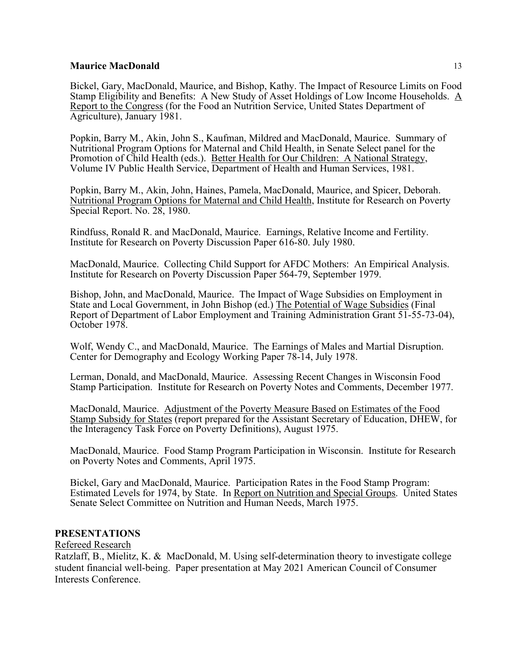Bickel, Gary, MacDonald, Maurice, and Bishop, Kathy. The Impact of Resource Limits on Food Stamp Eligibility and Benefits: A New Study of Asset Holdings of Low Income Households. A Report to the Congress (for the Food an Nutrition Service, United States Department of Agriculture), January 1981.

Popkin, Barry M., Akin, John S., Kaufman, Mildred and MacDonald, Maurice. Summary of Nutritional Program Options for Maternal and Child Health, in Senate Select panel for the Promotion of Child Health (eds.). Better Health for Our Children: A National Strategy, Volume IV Public Health Service, Department of Health and Human Services, 1981.

Popkin, Barry M., Akin, John, Haines, Pamela, MacDonald, Maurice, and Spicer, Deborah. Nutritional Program Options for Maternal and Child Health, Institute for Research on Poverty Special Report. No. 28, 1980.

Rindfuss, Ronald R. and MacDonald, Maurice. Earnings, Relative Income and Fertility. Institute for Research on Poverty Discussion Paper 616-80. July 1980.

MacDonald, Maurice. Collecting Child Support for AFDC Mothers: An Empirical Analysis. Institute for Research on Poverty Discussion Paper 564-79, September 1979.

Bishop, John, and MacDonald, Maurice. The Impact of Wage Subsidies on Employment in State and Local Government, in John Bishop (ed.) The Potential of Wage Subsidies (Final Report of Department of Labor Employment and Training Administration Grant 51-55-73-04), October 1978.

Wolf, Wendy C., and MacDonald, Maurice. The Earnings of Males and Martial Disruption. Center for Demography and Ecology Working Paper 78-14, July 1978.

Lerman, Donald, and MacDonald, Maurice. Assessing Recent Changes in Wisconsin Food Stamp Participation. Institute for Research on Poverty Notes and Comments, December 1977.

MacDonald, Maurice. Adjustment of the Poverty Measure Based on Estimates of the Food Stamp Subsidy for States (report prepared for the Assistant Secretary of Education, DHEW, for the Interagency Task Force on Poverty Definitions), August 1975.

MacDonald, Maurice. Food Stamp Program Participation in Wisconsin. Institute for Research on Poverty Notes and Comments, April 1975.

Bickel, Gary and MacDonald, Maurice. Participation Rates in the Food Stamp Program: Estimated Levels for 1974, by State. In Report on Nutrition and Special Groups. United States Senate Select Committee on Nutrition and Human Needs, March 1975.

# **PRESENTATIONS**

Refereed Research

Ratzlaff, B., Mielitz, K. & MacDonald, M. Using self-determination theory to investigate college student financial well-being. Paper presentation at May 2021 American Council of Consumer Interests Conference.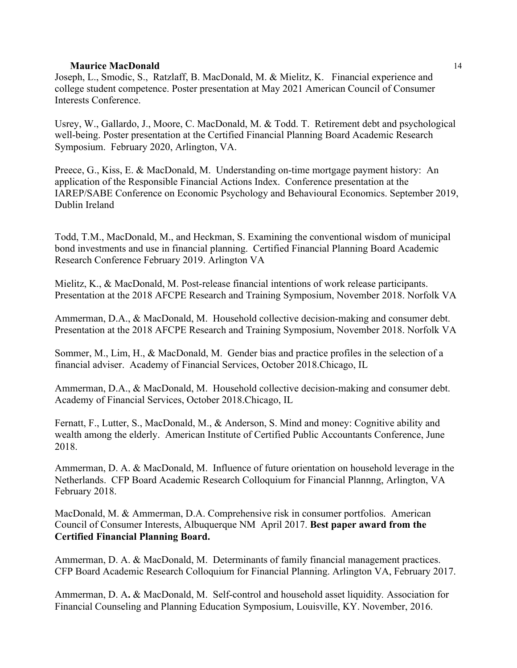Joseph, L., Smodic, S., Ratzlaff, B. MacDonald, M. & Mielitz, K. Financial experience and college student competence. Poster presentation at May 2021 American Council of Consumer Interests Conference.

Usrey, W., Gallardo, J., Moore, C. MacDonald, M. & Todd. T. Retirement debt and psychological well-being. Poster presentation at the Certified Financial Planning Board Academic Research Symposium. February 2020, Arlington, VA.

Preece, G., Kiss, E. & MacDonald, M. Understanding on-time mortgage payment history: An application of the Responsible Financial Actions Index. Conference presentation at the IAREP/SABE Conference on Economic Psychology and Behavioural Economics. September 2019, Dublin Ireland

Todd, T.M., MacDonald, M., and Heckman, S. Examining the conventional wisdom of municipal bond investments and use in financial planning. Certified Financial Planning Board Academic Research Conference February 2019. Arlington VA

Mielitz, K., & MacDonald, M. Post-release financial intentions of work release participants. Presentation at the 2018 AFCPE Research and Training Symposium, November 2018. Norfolk VA

Ammerman, D.A., & MacDonald, M. Household collective decision-making and consumer debt. Presentation at the 2018 AFCPE Research and Training Symposium, November 2018. Norfolk VA

Sommer, M., Lim, H., & MacDonald, M. Gender bias and practice profiles in the selection of a financial adviser. Academy of Financial Services, October 2018.Chicago, IL

Ammerman, D.A., & MacDonald, M. Household collective decision-making and consumer debt. Academy of Financial Services, October 2018.Chicago, IL

Fernatt, F., Lutter, S., MacDonald, M., & Anderson, S. Mind and money: Cognitive ability and wealth among the elderly. American Institute of Certified Public Accountants Conference, June 2018.

Ammerman, D. A. & MacDonald, M. Influence of future orientation on household leverage in the Netherlands. CFP Board Academic Research Colloquium for Financial Plannng, Arlington, VA February 2018.

MacDonald, M. & Ammerman, D.A. Comprehensive risk in consumer portfolios. American Council of Consumer Interests, Albuquerque NM April 2017. **Best paper award from the Certified Financial Planning Board.**

Ammerman, D. A. & MacDonald, M. Determinants of family financial management practices. CFP Board Academic Research Colloquium for Financial Planning. Arlington VA, February 2017.

Ammerman, D. A**.** & MacDonald, M. Self-control and household asset liquidity*.* Association for Financial Counseling and Planning Education Symposium, Louisville, KY. November, 2016.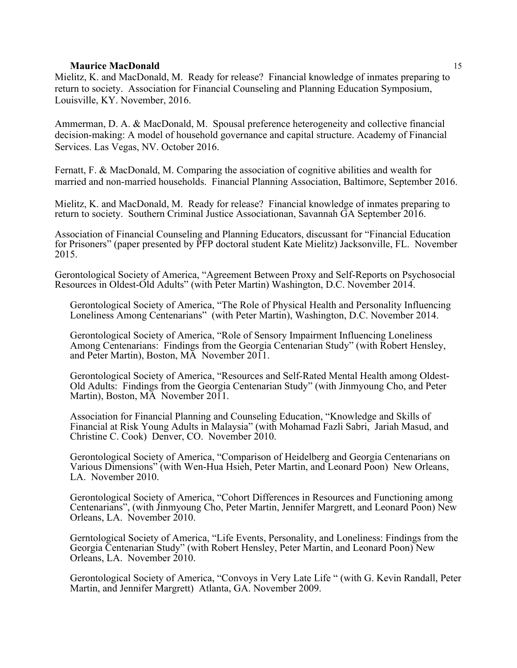Mielitz, K. and MacDonald, M. Ready for release? Financial knowledge of inmates preparing to return to society. Association for Financial Counseling and Planning Education Symposium, Louisville, KY. November, 2016.

Ammerman, D. A. & MacDonald, M. Spousal preference heterogeneity and collective financial decision-making: A model of household governance and capital structure. Academy of Financial Services. Las Vegas, NV. October 2016.

Fernatt, F. & MacDonald, M. Comparing the association of cognitive abilities and wealth for married and non-married households. Financial Planning Association, Baltimore, September 2016.

Mielitz, K. and MacDonald, M. Ready for release? Financial knowledge of inmates preparing to return to society. Southern Criminal Justice Associationan, Savannah GA September 2016.

Association of Financial Counseling and Planning Educators, discussant for "Financial Education for Prisoners" (paper presented by PFP doctoral student Kate Mielitz) Jacksonville, FL. November 2015.

Gerontological Society of America, "Agreement Between Proxy and Self-Reports on Psychosocial Resources in Oldest-Old Adults" (with Peter Martin) Washington, D.C. November 2014.

Gerontological Society of America, "The Role of Physical Health and Personality Influencing Loneliness Among Centenarians" (with Peter Martin), Washington, D.C. November 2014.

Gerontological Society of America, "Role of Sensory Impairment Influencing Loneliness Among Centenarians: Findings from the Georgia Centenarian Study" (with Robert Hensley, and Peter Martin), Boston, MA November 2011.

Gerontological Society of America, "Resources and Self-Rated Mental Health among Oldest-Old Adults: Findings from the Georgia Centenarian Study" (with Jinmyoung Cho, and Peter Martin), Boston, MA November 2011.

Association for Financial Planning and Counseling Education, "Knowledge and Skills of Financial at Risk Young Adults in Malaysia" (with Mohamad Fazli Sabri, Jariah Masud, and Christine C. Cook) Denver, CO. November 2010.

Gerontological Society of America, "Comparison of Heidelberg and Georgia Centenarians on Various Dimensions" (with Wen-Hua Hsieh, Peter Martin, and Leonard Poon) New Orleans, LA. November 2010.

Gerontological Society of America, "Cohort Differences in Resources and Functioning among Centenarians", (with Jinmyoung Cho, Peter Martin, Jennifer Margrett, and Leonard Poon) New Orleans, LA. November 2010.

Gerntological Society of America, "Life Events, Personality, and Loneliness: Findings from the Georgia Centenarian Study" (with Robert Hensley, Peter Martin, and Leonard Poon) New Orleans, LA. November 2010.

Gerontological Society of America, "Convoys in Very Late Life " (with G. Kevin Randall, Peter Martin, and Jennifer Margrett) Atlanta, GA. November 2009.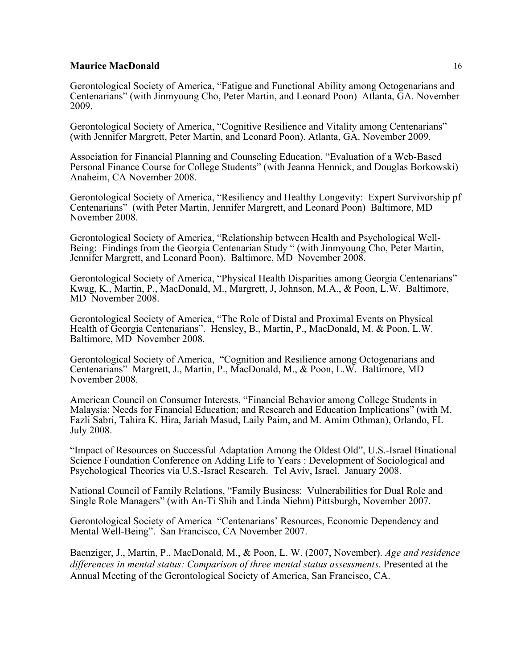Gerontological Society of America, "Fatigue and Functional Ability among Octogenarians and Centenarians" (with Jinmyoung Cho, Peter Martin, and Leonard Poon) Atlanta, GA. November 2009.

Gerontological Society of America, "Cognitive Resilience and Vitality among Centenarians" (with Jennifer Margrett, Peter Martin, and Leonard Poon). Atlanta, GA. November 2009.

Association for Financial Planning and Counseling Education, "Evaluation of a Web-Based Personal Finance Course for College Students" (with Jeanna Hennick, and Douglas Borkowski) Anaheim, CA November 2008.

Gerontological Society of America, "Resiliency and Healthy Longevity: Expert Survivorship pf Centenarians" (with Peter Martin, Jennifer Margrett, and Leonard Poon) Baltimore, MD November 2008.

Gerontological Society of America, "Relationship between Health and Psychological Well-Being: Findings from the Georgia Centenarian Study " (with Jinmyoung Cho, Peter Martin, Jennifer Margrett, and Leonard Poon). Baltimore, MD November 2008.

Gerontological Society of America, "Physical Health Disparities among Georgia Centenarians" Kwag, K., Martin, P., MacDonald, M., Margrett, J, Johnson, M.A., & Poon, L.W. Baltimore, MD November 2008.

Gerontological Society of America, "The Role of Distal and Proximal Events on Physical Health of Georgia Centenarians". Hensley, B., Martin, P., MacDonald, M. & Poon, L.W. Baltimore, MD November 2008.

Gerontological Society of America, "Cognition and Resilience among Octogenarians and Centenarians" Margrett, J., Martin, P., MacDonald, M., & Poon, L.W. Baltimore, MD November 2008.

American Council on Consumer Interests, "Financial Behavior among College Students in Malaysia: Needs for Financial Education; and Research and Education Implications" (with M. Fazli Sabri, Tahira K. Hira, Jariah Masud, Laily Paim, and M. Amim Othman), Orlando, FL July 2008.

"Impact of Resources on Successful Adaptation Among the Oldest Old", U.S.-Israel Binational Science Foundation Conference on Adding Life to Years : Development of Sociological and Psychological Theories via U.S.-Israel Research. Tel Aviv, Israel. January 2008.

National Council of Family Relations, "Family Business: Vulnerabilities for Dual Role and Single Role Managers" (with An-Ti Shih and Linda Niehm) Pittsburgh, November 2007.

Gerontological Society of America "Centenarians' Resources, Economic Dependency and Mental Well-Being". San Francisco, CA November 2007.

Baenziger, J., Martin, P., MacDonald, M., & Poon, L. W. (2007, November). *Age and residence*  differences in mental status: Comparison of three mental status assessments. Presented at the Annual Meeting of the Gerontological Society of America, San Francisco, CA.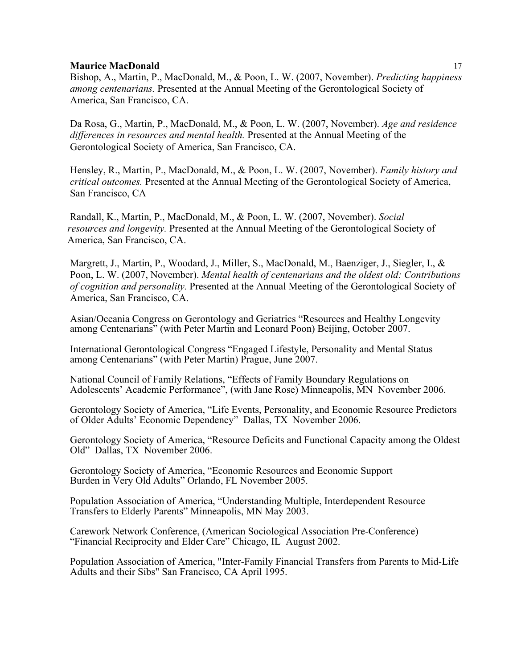Bishop, A., Martin, P., MacDonald, M., & Poon, L. W. (2007, November). *Predicting happiness among centenarians.* Presented at the Annual Meeting of the Gerontological Society of America, San Francisco, CA.

Da Rosa, G., Martin, P., MacDonald, M., & Poon, L. W. (2007, November). *Age and residence differences in resources and mental health.* Presented at the Annual Meeting of the Gerontological Society of America, San Francisco, CA.

Hensley, R., Martin, P., MacDonald, M., & Poon, L. W. (2007, November). *Family history and critical outcomes.* Presented at the Annual Meeting of the Gerontological Society of America, San Francisco, CA

 Randall, K., Martin, P., MacDonald, M., & Poon, L. W. (2007, November). *Social resources and longevity.* Presented at the Annual Meeting of the Gerontological Society of America, San Francisco, CA.

Margrett, J., Martin, P., Woodard, J., Miller, S., MacDonald, M., Baenziger, J., Siegler, I., & Poon, L. W. (2007, November). *Mental health of centenarians and the oldest old: Contributions of cognition and personality.* Presented at the Annual Meeting of the Gerontological Society of America, San Francisco, CA.

Asian/Oceania Congress on Gerontology and Geriatrics "Resources and Healthy Longevity among Centenarians" (with Peter Martin and Leonard Poon) Beijing, October 2007.

International Gerontological Congress "Engaged Lifestyle, Personality and Mental Status among Centenarians" (with Peter Martin) Prague, June 2007.

National Council of Family Relations, "Effects of Family Boundary Regulations on Adolescents' Academic Performance", (with Jane Rose) Minneapolis, MN November 2006.

Gerontology Society of America, "Life Events, Personality, and Economic Resource Predictors of Older Adults' Economic Dependency" Dallas, TX November 2006.

Gerontology Society of America, "Resource Deficits and Functional Capacity among the Oldest Old" Dallas, TX November 2006.

Gerontology Society of America, "Economic Resources and Economic Support Burden in Very Old Adults" Orlando, FL November 2005.

Population Association of America, "Understanding Multiple, Interdependent Resource Transfers to Elderly Parents" Minneapolis, MN May 2003.

Carework Network Conference, (American Sociological Association Pre-Conference) "Financial Reciprocity and Elder Care" Chicago, IL August 2002.

Population Association of America, "Inter-Family Financial Transfers from Parents to Mid-Life Adults and their Sibs" San Francisco, CA April 1995.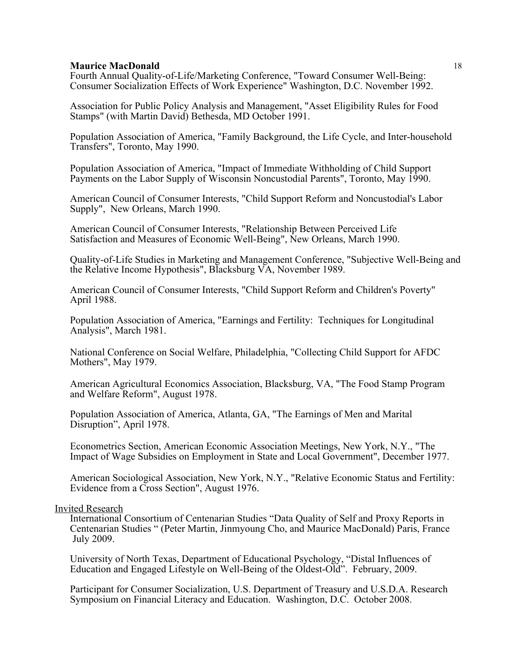Fourth Annual Quality-of-Life/Marketing Conference, "Toward Consumer Well-Being: Consumer Socialization Effects of Work Experience" Washington, D.C. November 1992.

Association for Public Policy Analysis and Management, "Asset Eligibility Rules for Food Stamps" (with Martin David) Bethesda, MD October 1991.

Population Association of America, "Family Background, the Life Cycle, and Inter-household Transfers", Toronto, May 1990.

Population Association of America, "Impact of Immediate Withholding of Child Support Payments on the Labor Supply of Wisconsin Noncustodial Parents", Toronto, May 1990.

American Council of Consumer Interests, "Child Support Reform and Noncustodial's Labor Supply", New Orleans, March 1990.

American Council of Consumer Interests, "Relationship Between Perceived Life Satisfaction and Measures of Economic Well-Being", New Orleans, March 1990.

Quality-of-Life Studies in Marketing and Management Conference, "Subjective Well-Being and the Relative Income Hypothesis", Blacksburg VA, November 1989.

American Council of Consumer Interests, "Child Support Reform and Children's Poverty" April 1988.

Population Association of America, "Earnings and Fertility: Techniques for Longitudinal Analysis", March 1981.

National Conference on Social Welfare, Philadelphia, "Collecting Child Support for AFDC Mothers", May 1979.

American Agricultural Economics Association, Blacksburg, VA, "The Food Stamp Program and Welfare Reform", August 1978.

 Population Association of America, Atlanta, GA, "The Earnings of Men and Marital Disruption", April 1978.

Econometrics Section, American Economic Association Meetings, New York, N.Y., "The Impact of Wage Subsidies on Employment in State and Local Government", December 1977.

American Sociological Association, New York, N.Y., "Relative Economic Status and Fertility: Evidence from a Cross Section", August 1976.

#### Invited Research

International Consortium of Centenarian Studies "Data Quality of Self and Proxy Reports in Centenarian Studies " (Peter Martin, Jinmyoung Cho, and Maurice MacDonald) Paris, France July 2009.

University of North Texas, Department of Educational Psychology, "Distal Influences of Education and Engaged Lifestyle on Well-Being of the Oldest-Old". February, 2009.

Participant for Consumer Socialization, U.S. Department of Treasury and U.S.D.A. Research Symposium on Financial Literacy and Education. Washington, D.C. October 2008.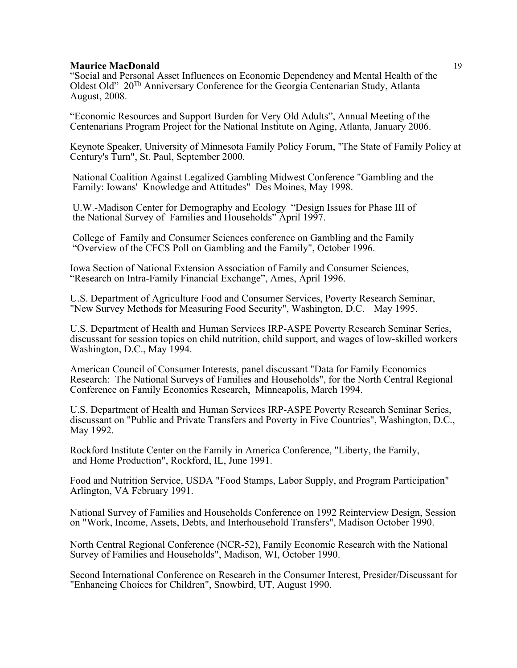"Social and Personal Asset Influences on Economic Dependency and Mental Health of the Oldest Old" 20Th Anniversary Conference for the Georgia Centenarian Study, Atlanta August, 2008.

"Economic Resources and Support Burden for Very Old Adults", Annual Meeting of the Centenarians Program Project for the National Institute on Aging, Atlanta, January 2006.

Keynote Speaker, University of Minnesota Family Policy Forum, "The State of Family Policy at Century's Turn", St. Paul, September 2000.

National Coalition Against Legalized Gambling Midwest Conference "Gambling and the Family: Iowans' Knowledge and Attitudes" Des Moines, May 1998.

U.W.-Madison Center for Demography and Ecology "Design Issues for Phase III of the National Survey of Families and Households" April 1997.

College of Family and Consumer Sciences conference on Gambling and the Family "Overview of the CFCS Poll on Gambling and the Family", October 1996.

Iowa Section of National Extension Association of Family and Consumer Sciences, "Research on Intra-Family Financial Exchange", Ames, April 1996.

U.S. Department of Agriculture Food and Consumer Services, Poverty Research Seminar, "New Survey Methods for Measuring Food Security", Washington, D.C. May 1995.

U.S. Department of Health and Human Services IRP-ASPE Poverty Research Seminar Series, discussant for session topics on child nutrition, child support, and wages of low-skilled workers Washington, D.C., May 1994.

American Council of Consumer Interests, panel discussant "Data for Family Economics Research: The National Surveys of Families and Households", for the North Central Regional Conference on Family Economics Research, Minneapolis, March 1994.

U.S. Department of Health and Human Services IRP-ASPE Poverty Research Seminar Series, discussant on "Public and Private Transfers and Poverty in Five Countries", Washington, D.C., May 1992.

Rockford Institute Center on the Family in America Conference, "Liberty, the Family, and Home Production", Rockford, IL, June 1991.

Food and Nutrition Service, USDA "Food Stamps, Labor Supply, and Program Participation" Arlington, VA February 1991.

National Survey of Families and Households Conference on 1992 Reinterview Design, Session on "Work, Income, Assets, Debts, and Interhousehold Transfers", Madison October 1990.

North Central Regional Conference (NCR-52), Family Economic Research with the National Survey of Families and Households", Madison, WI, October 1990.

Second International Conference on Research in the Consumer Interest, Presider/Discussant for "Enhancing Choices for Children", Snowbird, UT, August 1990.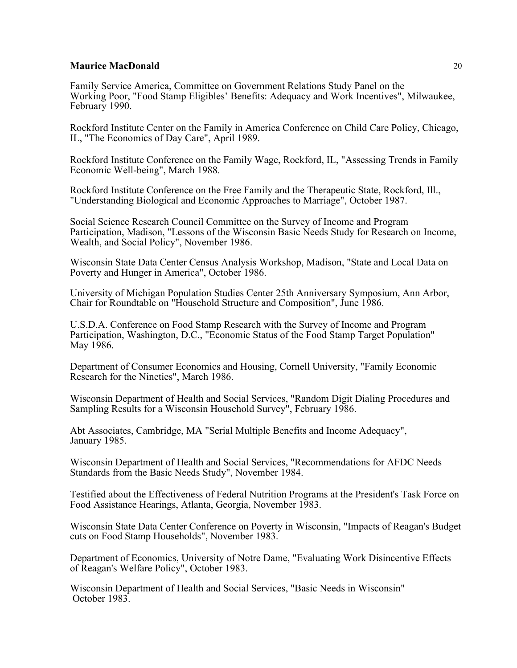Family Service America, Committee on Government Relations Study Panel on the Working Poor, "Food Stamp Eligibles' Benefits: Adequacy and Work Incentives", Milwaukee, February 1990.

Rockford Institute Center on the Family in America Conference on Child Care Policy, Chicago, IL, "The Economics of Day Care", April 1989.

Rockford Institute Conference on the Family Wage, Rockford, IL, "Assessing Trends in Family Economic Well-being", March 1988.

Rockford Institute Conference on the Free Family and the Therapeutic State, Rockford, Ill., "Understanding Biological and Economic Approaches to Marriage", October 1987.

Social Science Research Council Committee on the Survey of Income and Program Participation, Madison, "Lessons of the Wisconsin Basic Needs Study for Research on Income, Wealth, and Social Policy", November 1986.

Wisconsin State Data Center Census Analysis Workshop, Madison, "State and Local Data on Poverty and Hunger in America", October 1986.

University of Michigan Population Studies Center 25th Anniversary Symposium, Ann Arbor, Chair for Roundtable on "Household Structure and Composition", June 1986.

U.S.D.A. Conference on Food Stamp Research with the Survey of Income and Program Participation, Washington, D.C., "Economic Status of the Food Stamp Target Population" May 1986.

Department of Consumer Economics and Housing, Cornell University, "Family Economic Research for the Nineties", March 1986.

Wisconsin Department of Health and Social Services, "Random Digit Dialing Procedures and Sampling Results for a Wisconsin Household Survey", February 1986.

Abt Associates, Cambridge, MA "Serial Multiple Benefits and Income Adequacy", January 1985.

Wisconsin Department of Health and Social Services, "Recommendations for AFDC Needs Standards from the Basic Needs Study", November 1984.

Testified about the Effectiveness of Federal Nutrition Programs at the President's Task Force on Food Assistance Hearings, Atlanta, Georgia, November 1983.

Wisconsin State Data Center Conference on Poverty in Wisconsin, "Impacts of Reagan's Budget cuts on Food Stamp Households", November 1983.

Department of Economics, University of Notre Dame, "Evaluating Work Disincentive Effects of Reagan's Welfare Policy", October 1983.

Wisconsin Department of Health and Social Services, "Basic Needs in Wisconsin" October 1983.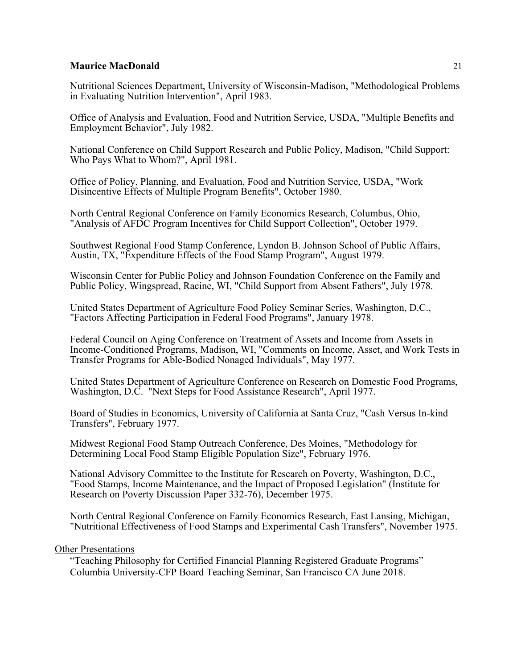Nutritional Sciences Department, University of Wisconsin-Madison, "Methodological Problems in Evaluating Nutrition Intervention", April 1983.

Office of Analysis and Evaluation, Food and Nutrition Service, USDA, "Multiple Benefits and Employment Behavior", July 1982.

National Conference on Child Support Research and Public Policy, Madison, "Child Support: Who Pays What to Whom?", April 1981.

Office of Policy, Planning, and Evaluation, Food and Nutrition Service, USDA, "Work Disincentive Effects of Multiple Program Benefits", October 1980.

North Central Regional Conference on Family Economics Research, Columbus, Ohio, "Analysis of AFDC Program Incentives for Child Support Collection", October 1979.

Southwest Regional Food Stamp Conference, Lyndon B. Johnson School of Public Affairs, Austin, TX, "Expenditure Effects of the Food Stamp Program", August 1979.

Wisconsin Center for Public Policy and Johnson Foundation Conference on the Family and Public Policy, Wingspread, Racine, WI, "Child Support from Absent Fathers", July 1978.

United States Department of Agriculture Food Policy Seminar Series, Washington, D.C., "Factors Affecting Participation in Federal Food Programs", January 1978.

Federal Council on Aging Conference on Treatment of Assets and Income from Assets in Income-Conditioned Programs, Madison, WI, "Comments on Income, Asset, and Work Tests in Transfer Programs for Able-Bodied Nonaged Individuals", May 1977.

United States Department of Agriculture Conference on Research on Domestic Food Programs, Washington, D.C. "Next Steps for Food Assistance Research", April 1977.

Board of Studies in Economics, University of California at Santa Cruz, "Cash Versus In-kind Transfers", February 1977.

Midwest Regional Food Stamp Outreach Conference, Des Moines, "Methodology for Determining Local Food Stamp Eligible Population Size", February 1976.

National Advisory Committee to the Institute for Research on Poverty, Washington, D.C., "Food Stamps, Income Maintenance, and the Impact of Proposed Legislation" (Institute for Research on Poverty Discussion Paper 332-76), December 1975.

North Central Regional Conference on Family Economics Research, East Lansing, Michigan, "Nutritional Effectiveness of Food Stamps and Experimental Cash Transfers", November 1975.

# Other Presentations

 "Teaching Philosophy for Certified Financial Planning Registered Graduate Programs" Columbia University-CFP Board Teaching Seminar, San Francisco CA June 2018.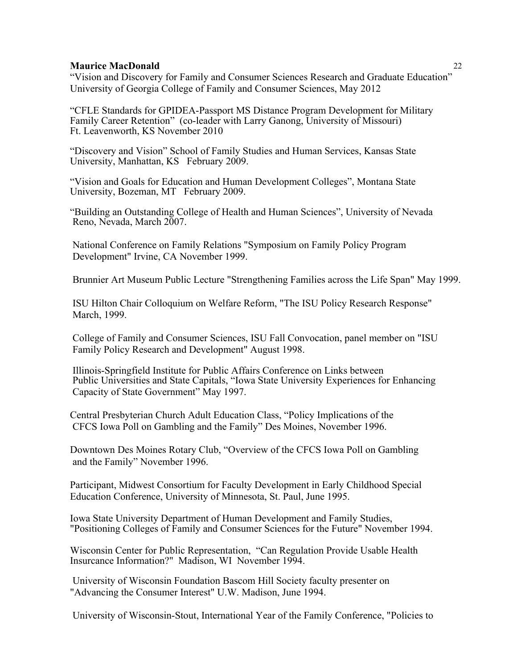"Vision and Discovery for Family and Consumer Sciences Research and Graduate Education" University of Georgia College of Family and Consumer Sciences, May 2012

"CFLE Standards for GPIDEA-Passport MS Distance Program Development for Military Family Career Retention" (co-leader with Larry Ganong, University of Missouri) Ft. Leavenworth, KS November 2010

"Discovery and Vision" School of Family Studies and Human Services, Kansas State University, Manhattan, KS February 2009.

"Vision and Goals for Education and Human Development Colleges", Montana State University, Bozeman, MT February 2009.

"Building an Outstanding College of Health and Human Sciences", University of Nevada Reno, Nevada, March 2007.

National Conference on Family Relations "Symposium on Family Policy Program Development" Irvine, CA November 1999.

Brunnier Art Museum Public Lecture "Strengthening Families across the Life Span" May 1999.

ISU Hilton Chair Colloquium on Welfare Reform, "The ISU Policy Research Response" March, 1999.

College of Family and Consumer Sciences, ISU Fall Convocation, panel member on "ISU Family Policy Research and Development" August 1998.

Illinois-Springfield Institute for Public Affairs Conference on Links between Public Universities and State Capitals, "Iowa State University Experiences for Enhancing Capacity of State Government" May 1997.

 Central Presbyterian Church Adult Education Class, "Policy Implications of the CFCS Iowa Poll on Gambling and the Family" Des Moines, November 1996.

 Downtown Des Moines Rotary Club, "Overview of the CFCS Iowa Poll on Gambling and the Family" November 1996.

 Participant, Midwest Consortium for Faculty Development in Early Childhood Special Education Conference, University of Minnesota, St. Paul, June 1995.

Iowa State University Department of Human Development and Family Studies, "Positioning Colleges of Family and Consumer Sciences for the Future" November 1994.

Wisconsin Center for Public Representation, "Can Regulation Provide Usable Health Insurcance Information?" Madison, WI November 1994.

 University of Wisconsin Foundation Bascom Hill Society faculty presenter on "Advancing the Consumer Interest" U.W. Madison, June 1994.

University of Wisconsin-Stout, International Year of the Family Conference, "Policies to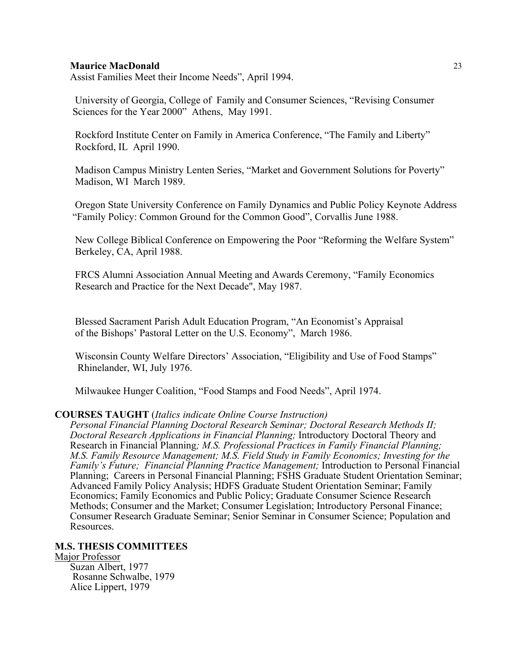Assist Families Meet their Income Needs", April 1994.

 University of Georgia, College of Family and Consumer Sciences, "Revising Consumer Sciences for the Year 2000" Athens, May 1991.

 Rockford Institute Center on Family in America Conference, "The Family and Liberty" Rockford, IL April 1990.

 Madison Campus Ministry Lenten Series, "Market and Government Solutions for Poverty" Madison, WI March 1989.

 Oregon State University Conference on Family Dynamics and Public Policy Keynote Address "Family Policy: Common Ground for the Common Good", Corvallis June 1988.

 New College Biblical Conference on Empowering the Poor "Reforming the Welfare System" Berkeley, CA, April 1988.

 FRCS Alumni Association Annual Meeting and Awards Ceremony, "Family Economics Research and Practice for the Next Decade", May 1987.

 Blessed Sacrament Parish Adult Education Program, "An Economist's Appraisal of the Bishops' Pastoral Letter on the U.S. Economy", March 1986.

 Wisconsin County Welfare Directors' Association, "Eligibility and Use of Food Stamps" Rhinelander, WI, July 1976.

Milwaukee Hunger Coalition, "Food Stamps and Food Needs", April 1974.

#### **COURSES TAUGHT** (*Italics indicate Online Course Instruction)*

*Personal Financial Planning Doctoral Research Seminar; Doctoral Research Methods II; Doctoral Research Applications in Financial Planning;* Introductory Doctoral Theory and Research in Financial Planning*; M.S. Professional Practices in Family Financial Planning; M.S. Family Resource Management; M.S. Field Study in Family Economics; Investing for the Family's Future; Financial Planning Practice Management;* Introduction to Personal Financial Planning; Careers in Personal Financial Planning; FSHS Graduate Student Orientation Seminar; Advanced Family Policy Analysis; HDFS Graduate Student Orientation Seminar; Family Economics; Family Economics and Public Policy; Graduate Consumer Science Research Methods; Consumer and the Market; Consumer Legislation; Introductory Personal Finance; Consumer Research Graduate Seminar; Senior Seminar in Consumer Science; Population and Resources.

# **M.S. THESIS COMMITTEES**

# Major Professor

Suzan Albert, 1977 Rosanne Schwalbe, 1979 Alice Lippert, 1979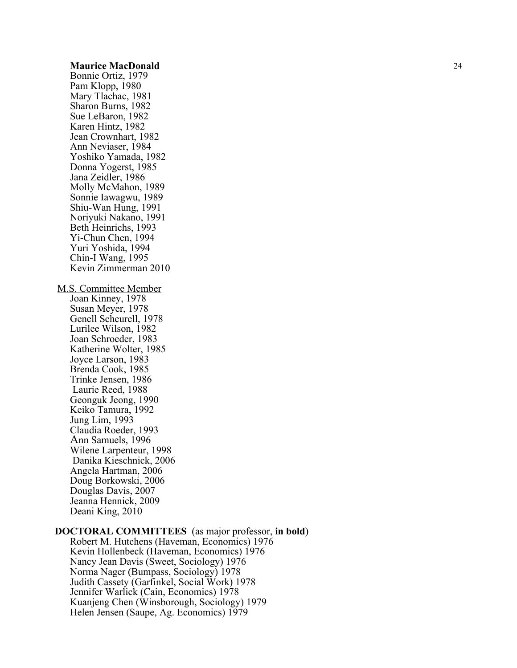Bonnie Ortiz, 1979 Pam Klopp, 1980 Mary Tlachac, 1981 Sharon Burns, 1982 Sue LeBaron, 1982 Karen Hintz, 1982 Jean Crownhart, 1982 Ann Neviaser, 1984 Yoshiko Yamada, 1982 Donna Yogerst, 1985 Jana Zeidler, 1986 Molly McMahon, 1989 Sonnie Iawagwu, 1989 Shiu -Wan Hung, 1991 Noriyuki Nakano, 1991 Beth Heinrichs, 1993 Yi -Chun Chen, 1994 Yuri Yoshida, 1994 Chin -I Wang, 1995 Kevin Zimmerman 2010 M.S. Committee Member Joan Kinney, 1978 Susan Meyer, 1978 Genell Scheurell, 1978 Lurilee Wilson, 1982 Joan Schroeder, 1983 Katherine Wolter, 1985

Joyce Larson, 1983 Brenda Cook, 1985 Trinke Jensen, 1986 Laurie Reed, 1988 Geonguk Jeong, 1990 Keiko Tamura, 1992 Jung Lim, 1993 Claudia Roeder, 1993 Ann Samuels, 1996 Wilene Larpenteur, 1998 Danika Kieschnick, 2006 Angela Hartman, 2006 Doug Borkowski, 2006 Douglas Davis, 2007 Jeanna Hennick, 2009 Deani King, 2010

# **DOCTORAL COMMITTEES** (as major professor, **in bold** )

Robert M. Hutchens (Haveman, Economics) 1976 Kevin Hollenbeck (Haveman, Economics) 1976 Nancy Jean Davis (Sweet, Sociology) 1976 Norma Nager (Bumpass, Sociology) 197 8 Judith Cassety (Garfinkel, Social Work) 1978 Jennifer Warlick (Cain, Economics) 1978 Kuanjeng Chen (Winsborough, Sociology) 1979 Helen Jensen (Saupe, Ag. Economics) 1979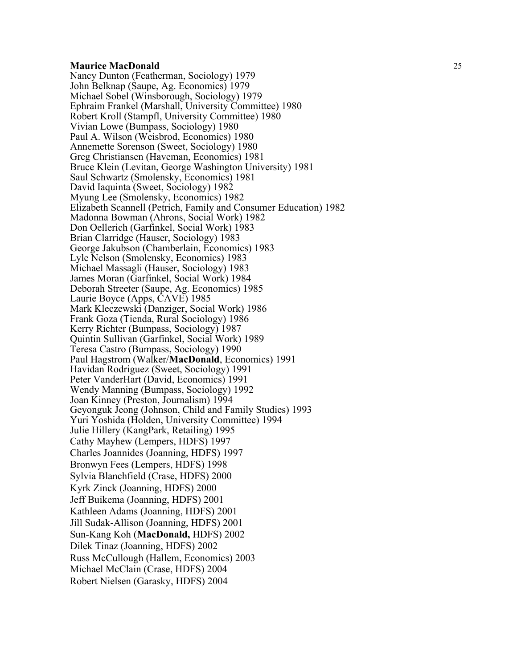Nancy Dunton (Featherman, Sociology) 1979 John Belknap (Saupe, Ag. Economics) 1979 Michael Sobel (Winsborough, Sociology) 1979 Ephraim Frankel (Marshall, University Committee) 1980 Robert Kroll (Stampfl, University Committee) 1980 Vivian Lowe (Bumpass, Sociology) 1980 Paul A. Wilson (Weisbrod, Economics) 1980 Annemette Sorenson (Sweet, Sociology) 1980 Greg Christiansen (Haveman, Economics) 1981 Bruce Klein (Levitan, George Washington University) 1981 Saul Schwartz (Smolensky, Economics) 1981 David Iaquinta (Sweet, Sociology) 1982 Myung Lee (Smolensky, Economics) 1982 Elizabeth Scannell (Petrich, Family and Consumer Education) 1982 Madonna Bowman (Ahrons, Social Work) 1982 Don Oellerich (Garfinkel, Social Work) 1983 Brian Clarridge (Hauser, Sociology) 1983 George Jakubson (Chamberlain, Economics) 1983 Lyle Nelson (Smolensky, Economics) 1983 Michael Massagli (Hauser, Sociology) 1983 James Moran (Garfinkel, Social Work) 1984 Deborah Streeter (Saupe, Ag. Economics) 1985 Laurie Boyce (Apps, CAVE) 1985 Mark Kleczewski (Danziger, Social Work) 1986 Frank Goza (Tienda, Rural Sociology) 1986 Kerry Richter (Bumpass, Sociology) 1987 Quintin Sullivan (Garfinkel, Social Work) 1989 Teresa Castro (Bumpass, Sociology) 1990 Paul Hagstrom (Walker/**MacDonald**, Economics) 1991 Havidan Rodriguez (Sweet, Sociology) 1991 Peter VanderHart (David, Economics) 1991 Wendy Manning (Bumpass, Sociology) 1992 Geyonguk Jeong (Johnson, Child and Family Studies) 1993 Yuri Yoshida (Holden, University Committee) 1994 Julie Hillery (KangPark, Retailing) 1995 Cathy Mayhew (Lempers, HDFS) 1997 Charles Joannides (Joanning, HDFS) 1997 Bronwyn Fees (Lempers, HDFS) 1998 Sylvia Blanchfield (Crase, HDFS) 2000 Kyrk Zinck (Joanning, HDFS) 2000 Jeff Buikema (Joanning, HDFS) 2001 Kathleen Adams (Joanning, HDFS) 2001 Jill Sudak -Allison (Joanning, HDFS) 2001 Sun -Kang Koh (**MacDonald,** HDFS) 2002 Dilek Tinaz (Joanning, HDFS) 2002 Russ McCullough (Hallem, Economics) 2003 Michael McClain (Crase, HDFS) 2004 Robert Nielsen (Garasky, HDFS) 2004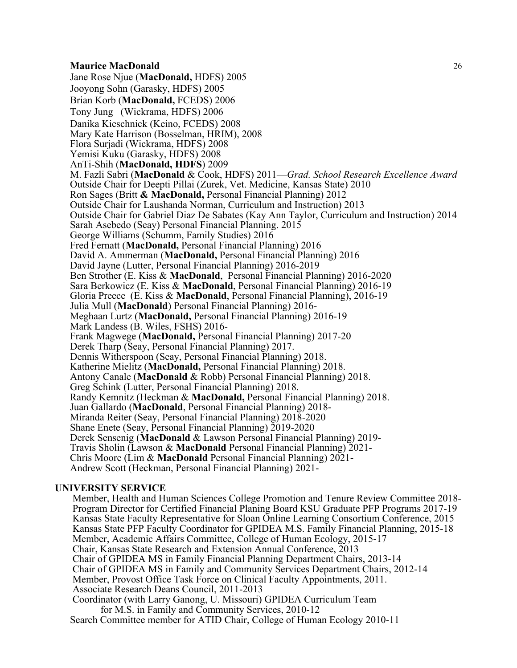Jane Rose Njue (**MacDonald,** HDFS) 2005 Jooyong Sohn (Garasky, HDFS) 2005 Brian Korb (**MacDonald,** FCEDS) 2006 Tony Jung (Wickrama, HDFS) 2006 Danika Kieschnick (Keino, FCEDS) 2008 Mary Kate Harrison (Bosselman, HRIM), 2008 Flora Surjadi (Wickrama, HDFS) 2008 Yemisi Kuku (Garasky, HDFS) 2008 AnTi-Shih (**MacDonald, HDFS**) 2009 M. Fazli Sabri (**MacDonald** & Cook, HDFS) 2011—*Grad. School Research Excellence Award* Outside Chair for Deepti Pillai (Zurek, Vet. Medicine, Kansas State) 2010 Ron Sages (Britt **& MacDonald,** Personal Financial Planning) 2012 Outside Chair for Laushanda Norman, Curriculum and Instruction) 2013 Outside Chair for Gabriel Diaz De Sabates (Kay Ann Taylor, Curriculum and Instruction) 2014 Sarah Asebedo (Seay) Personal Financial Planning. 2015 George Williams (Schumm, Family Studies) 2016 Fred Fernatt (**MacDonald,** Personal Financial Planning) 2016 David A. Ammerman (**MacDonald,** Personal Financial Planning) 2016 David Jayne (Lutter, Personal Financial Planning) 2016-2019 Ben Strother (E. Kiss & **MacDonald**, Personal Financial Planning) 2016-2020 Sara Berkowicz (E. Kiss & **MacDonald**, Personal Financial Planning) 2016-19 Gloria Preece (E. Kiss & **MacDonald**, Personal Financial Planning), 2016-19 Julia Mull (**MacDonald**) Personal Financial Planning) 2016-<br>Meghaan Lurtz (**MacDonald**, Personal Financial Planning) 2016-19<br>Mark Landess (B. Wiles, FSHS) 2016-Frank Magwege (MacDonald, Personal Financial Planning) 2017-20 Derek Tharp (Seay, Personal Financial Planning) 2017. Dennis Witherspoon (Seay, Personal Financial Planning) 2018. Katherine Mielitz (**MacDonald,** Personal Financial Planning) 2018. Antony Canale (**MacDonald** & Robb) Personal Financial Planning) 2018. Greg Schink (Lutter, Personal Financial Planning) 2018. Randy Kemnitz (Heckman & **MacDonald,** Personal Financial Planning) 2018. Juan Gallardo (**MacDonald**, Personal Financial Planning) 2018-<br>Miranda Reiter (Seay, Personal Financial Planning) 2018-2020<br>Shane Enete (Seay, Personal Financial Planning) 2019-2020 Derek Sensenig (MacDonald & Lawson Personal Financial Planning) 2019-<br>Travis Sholin (Lawson & MacDonald Personal Financial Planning) 2021-<br>Chris Moore (Lim & MacDonald Personal Financial Planning) 2021-<br>Andrew Scott (Heckm

# **UNIVERSITY SERVICE**

Member, Health and Human Sciences College Promotion and Tenure Review Committee 2018- Program Director for Certified Financial Planing Board KSU Graduate PFP Programs 2017-19 Kansas State Faculty Representative for Sloan Online Learning Consortium Conference, 2015 Kansas State PFP Faculty Coordinator for GPIDEA M.S. Family Financial Planning, 2015-18 Member, Academic Affairs Committee, College of Human Ecology, 2015-17 Chair, Kansas State Research and Extension Annual Conference, 2013 Chair of GPIDEA MS in Family Financial Planning Department Chairs, 2013-14 Chair of GPIDEA MS in Family and Community Services Department Chairs, 2012-14 Member, Provost Office Task Force on Clinical Faculty Appointments, 2011. Associate Research Deans Council, 2011-2013 Coordinator (with Larry Ganong, U. Missouri) GPIDEA Curriculum Team for M.S. in Family and Community Services, 2010-12

Search Committee member for ATID Chair, College of Human Ecology 2010-11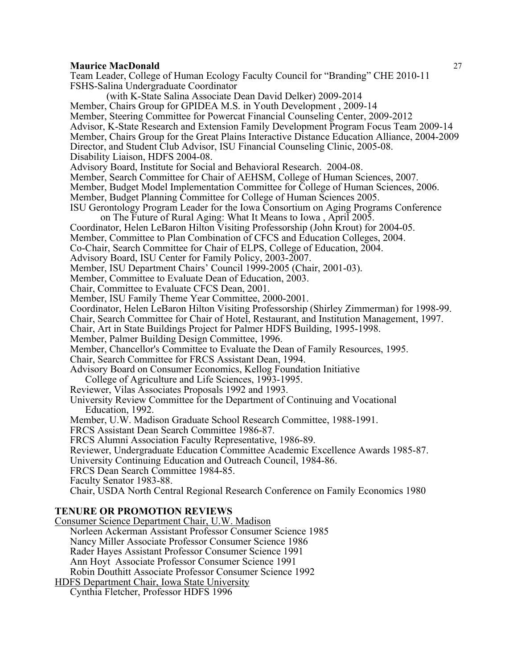**Maurice MacDonald** 27 Team Leader, College of Human Ecology Faculty Council for "Branding" CHE 2010-11 FSHS-Salina Undergraduate Coordinator (with K-State Salina Associate Dean David Delker) 2009-2014 Member, Chairs Group for GPIDEA M.S. in Youth Development , 2009-14 Member, Steering Committee for Powercat Financial Counseling Center, 2009-2012 Advisor, K-State Research and Extension Family Development Program Focus Team 2009-14 Member, Chairs Group for the Great Plains Interactive Distance Education Alliance, 2004-2009 Director, and Student Club Advisor, ISU Financial Counseling Clinic, 2005-08. Disability Liaison, HDFS 2004-08. Advisory Board, Institute for Social and Behavioral Research. 2004-08. Member, Search Committee for Chair of AEHSM, College of Human Sciences, 2007. Member, Budget Model Implementation Committee for College of Human Sciences, 2006. Member, Budget Planning Committee for College of Human Sciences 2005. ISU Gerontology Program Leader for the Iowa Consortium on Aging Programs Conference on The Future of Rural Aging: What It Means to Iowa , April 2005. Coordinator, Helen LeBaron Hilton Visiting Professorship (John Krout) for 2004-05. Member, Committee to Plan Combination of CFCS and Education Colleges, 2004. Co-Chair, Search Committee for Chair of ELPS, College of Education, 2004. Advisory Board, ISU Center for Family Policy, 2003-2007. Member, ISU Department Chairs' Council 1999-2005 (Chair, 2001-03). Member, Committee to Evaluate Dean of Education, 2003. Chair, Committee to Evaluate CFCS Dean, 2001. Member, ISU Family Theme Year Committee, 2000-2001. Coordinator, Helen LeBaron Hilton Visiting Professorship (Shirley Zimmerman) for 1998-99. Chair, Search Committee for Chair of Hotel, Restaurant, and Institution Management, 1997. Chair, Art in State Buildings Project for Palmer HDFS Building, 1995-1998. Member, Palmer Building Design Committee, 1996. Member, Chancellor's Committee to Evaluate the Dean of Family Resources, 1995. Chair, Search Committee for FRCS Assistant Dean, 1994. Advisory Board on Consumer Economics, Kellog Foundation Initiative College of Agriculture and Life Sciences, 1993-1995. Reviewer, Vilas Associates Proposals 1992 and 1993. University Review Committee for the Department of Continuing and Vocational Education, 1992. Member, U.W. Madison Graduate School Research Committee, 1988-1991. FRCS Assistant Dean Search Committee 1986-87. FRCS Alumni Association Faculty Representative, 1986-89. Reviewer, Undergraduate Education Committee Academic Excellence Awards 1985-87. University Continuing Education and Outreach Council, 1984-86. FRCS Dean Search Committee 1984-85. Faculty Senator 1983-88. Chair, USDA North Central Regional Research Conference on Family Economics 1980

# **TENURE OR PROMOTION REVIEWS**

Consumer Science Department Chair, U.W. Madison Norleen Ackerman Assistant Professor Consumer Science 1985 Nancy Miller Associate Professor Consumer Science 1986 Rader Hayes Assistant Professor Consumer Science 1991 Ann Hoyt Associate Professor Consumer Science 1991 Robin Douthitt Associate Professor Consumer Science 1992 HDFS Department Chair, Iowa State University

Cynthia Fletcher, Professor HDFS 1996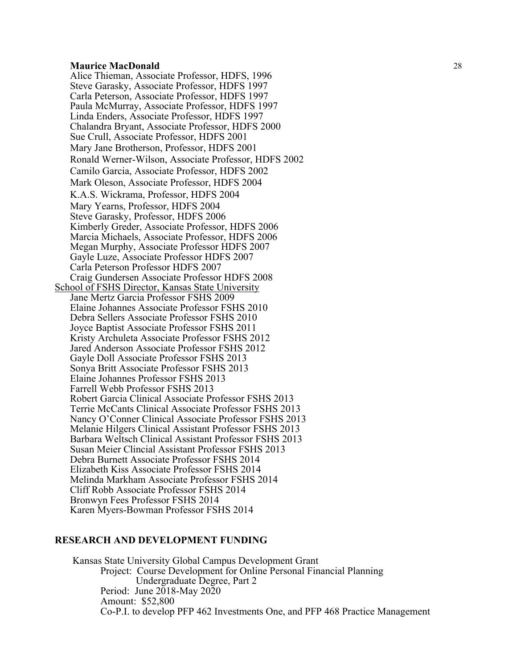Alice Thieman, Associate Professor, HDFS, 1996 Steve Garasky, Associate Professor, HDFS 1997 Carla Peterson, Associate Professor, HDFS 1997 Paula McMurray, Associate Professor, HDFS 1997 Linda Enders, Associate Professor, HDFS 1997 Chalandra Bryant, Associate Professor, HDFS 2000 Sue Crull, Associate Professor, HDFS 2001 Mary Jane Brotherson, Professor, HDFS 2001 Ronald Werner-Wilson, Associate Professor, HDFS 2002 Camilo Garcia, Associate Professor, HDFS 2002 Mark Oleson, Associate Professor, HDFS 2004 K.A.S. Wickrama, Professor, HDFS 2004 Mary Yearns, Professor, HDFS 2004 Steve Garasky, Professor, HDFS 2006 Kimberly Greder, Associate Professor, HDFS 2006 Marcia Michaels, Associate Professor, HDFS 2006 Megan Murphy, Associate Professor HDFS 2007 Gayle Luze, Associate Professor HDFS 2007 Carla Peterson Professor HDFS 2007 Craig Gundersen Associate Professor HDFS 2008 School of FSHS Director, Kansas State University Jane Mertz Garcia Professor FSHS 2009 Elaine Johannes Associate Professor FSHS 2010 Debra Sellers Associate Professor FSHS 2010 Joyce Baptist Associate Professor FSHS 2011 Kristy Archuleta Associate Professor FSHS 2012 Jared Anderson Associate Professor FSHS 2012 Gayle Doll Associate Professor FSHS 2013 Sonya Britt Associate Professor FSHS 2013 Elaine Johannes Professor FSHS 2013 Farrell Webb Professor FSHS 2013 Robert Garcia Clinical Associate Professor FSHS 2013 Terrie McCants Clinical Associate Professor FSHS 2013 Nancy O'Conner Clinical Associate Professor FSHS 2013 Melanie Hilgers Clinical Assistant Professor FSHS 2013 Barbara Weltsch Clinical Assistant Professor FSHS 2013 Susan Meier Clincial Assistant Professor FSHS 2013 Debra Burnett Associate Professor FSHS 2014 Elizabeth Kiss Associate Professor FSHS 2014 Melinda Markham Associate Professor FSHS 2014 Cliff Robb Associate Professor FSHS 2014 Bronwyn Fees Professor FSHS 2014 Karen Myers-Bowman Professor FSHS 2014

#### **RESEARCH AND DEVELOPMENT FUNDING**

Kansas State University Global Campus Development Grant Project: Course Development for Online Personal Financial Planning Undergraduate Degree, Part 2 Period: June 2018-May 2020 Amount: \$52,800 Co-P.I. to develop PFP 462 Investments One, and PFP 468 Practice Management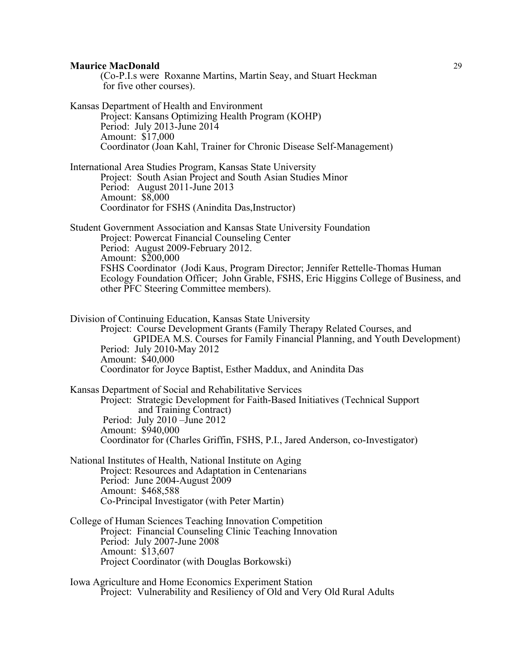(Co-P.I.s were Roxanne Martins, Martin Seay, and Stuart Heckman for five other courses).

Kansas Department of Health and Environment Project: Kansans Optimizing Health Program (KOHP) Period: July 2013-June 2014 Amount: \$17,000 Coordinator (Joan Kahl, Trainer for Chronic Disease Self-Management) International Area Studies Program, Kansas State University Project: South Asian Project and South Asian Studies Minor Period: August 2011-June 2013 Amount: \$8,000 Coordinator for FSHS (Anindita Das,Instructor) Student Government Association and Kansas State University Foundation Project: Powercat Financial Counseling Center Period: August 2009-February 2012. Amount: \$200,000 FSHS Coordinator (Jodi Kaus, Program Director; Jennifer Rettelle-Thomas Human Ecology Foundation Officer; John Grable, FSHS, Eric Higgins College of Business, and other PFC Steering Committee members). Division of Continuing Education, Kansas State University Project: Course Development Grants (Family Therapy Related Courses, and GPIDEA M.S. Courses for Family Financial Planning, and Youth Development) Period: July 2010-May 2012 Amount: \$40,000 Coordinator for Joyce Baptist, Esther Maddux, and Anindita Das

Kansas Department of Social and Rehabilitative Services Project: Strategic Development for Faith-Based Initiatives (Technical Support and Training Contract) Period: July 2010 –June 2012 Amount: \$940,000 Coordinator for (Charles Griffin, FSHS, P.I., Jared Anderson, co-Investigator)

- National Institutes of Health, National Institute on Aging Project: Resources and Adaptation in Centenarians Period: June 2004-August 2009 Amount: \$468,588 Co-Principal Investigator (with Peter Martin)
- College of Human Sciences Teaching Innovation Competition Project: Financial Counseling Clinic Teaching Innovation Period: July 2007-June 2008 Amount: \$13,607 Project Coordinator (with Douglas Borkowski)

Iowa Agriculture and Home Economics Experiment Station Project: Vulnerability and Resiliency of Old and Very Old Rural Adults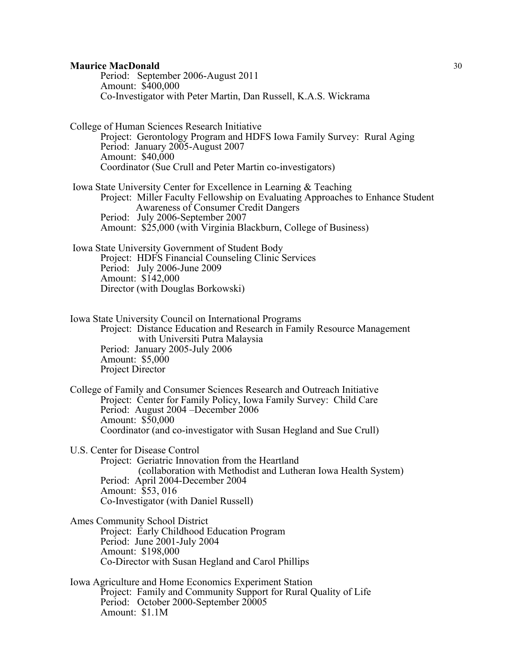Period: September 2006-August 2011 Amount: \$400,000 Co-Investigator with Peter Martin, Dan Russell, K.A.S. Wickrama

College of Human Sciences Research Initiative Project: Gerontology Program and HDFS Iowa Family Survey: Rural Aging Period: January 2005-August 2007 Amount: \$40,000 Coordinator (Sue Crull and Peter Martin co-investigators)

Iowa State University Center for Excellence in Learning & Teaching Project: Miller Faculty Fellowship on Evaluating Approaches to Enhance Student Awareness of Consumer Credit Dangers Period: July 2006-September 2007 Amount: \$25,000 (with Virginia Blackburn, College of Business)

Iowa State University Government of Student Body Project: HDFS Financial Counseling Clinic Services Period: July 2006-June 2009 Amount: \$142,000 Director (with Douglas Borkowski)

Iowa State University Council on International Programs Project: Distance Education and Research in Family Resource Management with Universiti Putra Malaysia Period: January 2005-July 2006 Amount: \$5,000 Project Director

College of Family and Consumer Sciences Research and Outreach Initiative Project: Center for Family Policy, Iowa Family Survey: Child Care Period: August 2004 –December 2006 Amount: \$50,000 Coordinator (and co-investigator with Susan Hegland and Sue Crull)

U.S. Center for Disease Control

Project: Geriatric Innovation from the Heartland (collaboration with Methodist and Lutheran Iowa Health System) Period: April 2004-December 2004 Amount: \$53, 016 Co-Investigator (with Daniel Russell)

- Ames Community School District Project: Early Childhood Education Program Period: June 2001-July 2004 Amount: \$198,000 Co-Director with Susan Hegland and Carol Phillips
- Iowa Agriculture and Home Economics Experiment Station Project: Family and Community Support for Rural Quality of Life Period: October 2000-September 20005 Amount: \$1.1M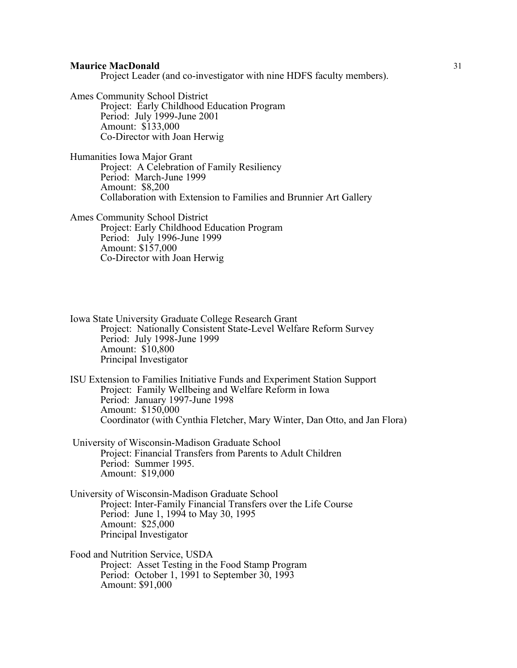Project Leader (and co-investigator with nine HDFS faculty members).

Ames Community School District Project: Early Childhood Education Program Period: July 1999-June 2001 Amount: \$133,000 Co-Director with Joan Herwig

Humanities Iowa Major Grant Project: A Celebration of Family Resiliency Period: March-June 1999 Amount: \$8,200 Collaboration with Extension to Families and Brunnier Art Gallery

Ames Community School District Project: Early Childhood Education Program Period: July 1996-June 1999 Amount: \$157,000 Co-Director with Joan Herwig

Iowa State University Graduate College Research Grant Project: Nationally Consistent State-Level Welfare Reform Survey Period: July 1998-June 1999 Amount: \$10,800 Principal Investigator

ISU Extension to Families Initiative Funds and Experiment Station Support Project: Family Wellbeing and Welfare Reform in Iowa Period: January 1997-June 1998 Amount: \$150,000 Coordinator (with Cynthia Fletcher, Mary Winter, Dan Otto, and Jan Flora)

University of Wisconsin-Madison Graduate School Project: Financial Transfers from Parents to Adult Children Period: Summer 1995. Amount: \$19,000

University of Wisconsin-Madison Graduate School Project: Inter-Family Financial Transfers over the Life Course Period: June 1, 1994 to May 30, 1995 Amount: \$25,000 Principal Investigator

Food and Nutrition Service, USDA Project: Asset Testing in the Food Stamp Program Period: October 1, 1991 to September 30, 1993 Amount: \$91,000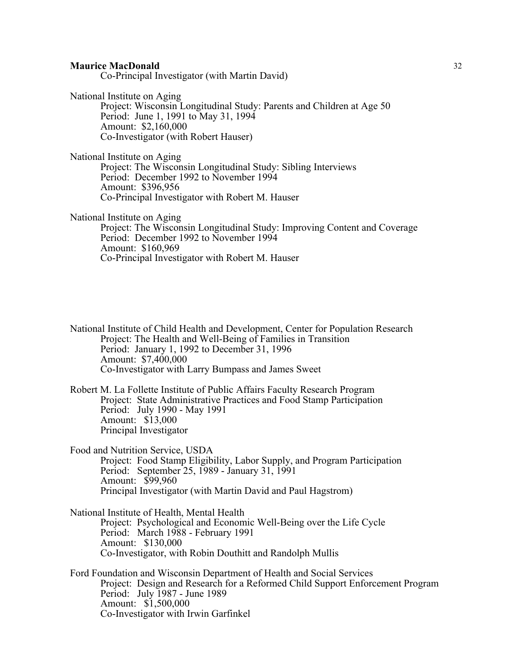| <b>Maurice MacDonald</b> |  |
|--------------------------|--|
|                          |  |

Co-Principal Investigator (with Martin David)

National Institute on Aging

Project: Wisconsin Longitudinal Study: Parents and Children at Age 50 Period: June 1, 1991 to May 31, 1994 Amount: \$2,160,000 Co-Investigator (with Robert Hauser)

National Institute on Aging Project: The Wisconsin Longitudinal Study: Sibling Interviews Period: December 1992 to November 1994 Amount: \$396,956 Co-Principal Investigator with Robert M. Hauser

National Institute on Aging

Project: The Wisconsin Longitudinal Study: Improving Content and Coverage Period: December 1992 to November 1994 Amount: \$160,969 Co-Principal Investigator with Robert M. Hauser

National Institute of Child Health and Development, Center for Population Research Project: The Health and Well-Being of Families in Transition Period: January 1, 1992 to December 31, 1996 Amount: \$7,400,000 Co-Investigator with Larry Bumpass and James Sweet

Robert M. La Follette Institute of Public Affairs Faculty Research Program Project: State Administrative Practices and Food Stamp Participation Period: July 1990 - May 1991 Amount: \$13,000 Principal Investigator

Food and Nutrition Service, USDA

Project: Food Stamp Eligibility, Labor Supply, and Program Participation Period: September 25, 1989 - January 31, 1991 Amount: \$99,960 Principal Investigator (with Martin David and Paul Hagstrom)

National Institute of Health, Mental Health Project: Psychological and Economic Well-Being over the Life Cycle Period: March 1988 - February 1991 Amount: \$130,000 Co-Investigator, with Robin Douthitt and Randolph Mullis

Ford Foundation and Wisconsin Department of Health and Social Services Project: Design and Research for a Reformed Child Support Enforcement Program Period: July 1987 - June 1989 Amount: \$1,500,000 Co-Investigator with Irwin Garfinkel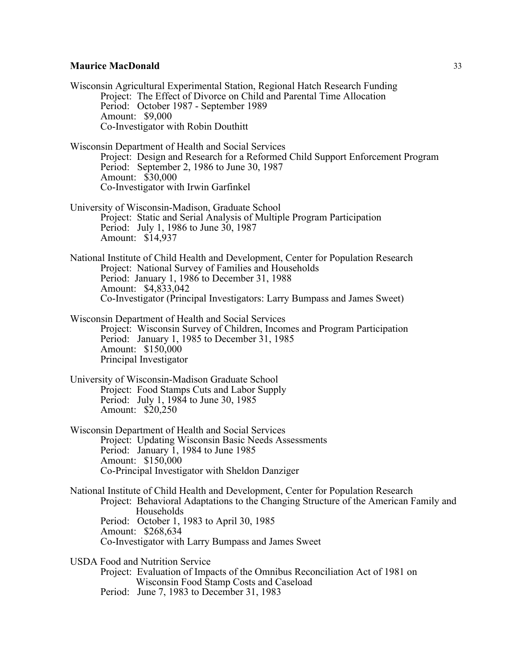Wisconsin Agricultural Experimental Station, Regional Hatch Research Funding Project: The Effect of Divorce on Child and Parental Time Allocation Period: October 1987 - September 1989 Amount: \$9,000 Co-Investigator with Robin Douthitt Wisconsin Department of Health and Social Services Project: Design and Research for a Reformed Child Support Enforcement Program Period: September 2, 1986 to June 30, 1987 Amount: \$30,000 Co-Investigator with Irwin Garfinkel University of Wisconsin-Madison, Graduate School Project: Static and Serial Analysis of Multiple Program Participation Period: July 1, 1986 to June 30, 1987 Amount: \$14,937 National Institute of Child Health and Development, Center for Population Research Project: National Survey of Families and Households Period: January 1, 1986 to December 31, 1988 Amount: \$4,833,042 Co-Investigator (Principal Investigators: Larry Bumpass and James Sweet) Wisconsin Department of Health and Social Services Project: Wisconsin Survey of Children, Incomes and Program Participation Period: January 1, 1985 to December 31, 1985 Amount: \$150,000 Principal Investigator University of Wisconsin-Madison Graduate School Project: Food Stamps Cuts and Labor Supply Period: July 1, 1984 to June 30, 1985 Amount: \$20,250 Wisconsin Department of Health and Social Services Project: Updating Wisconsin Basic Needs Assessments Period: January 1, 1984 to June 1985 Amount: \$150,000 Co-Principal Investigator with Sheldon Danziger National Institute of Child Health and Development, Center for Population Research Project: Behavioral Adaptations to the Changing Structure of the American Family and Households Period: October 1, 1983 to April 30, 1985 Amount: \$268,634 Co-Investigator with Larry Bumpass and James Sweet USDA Food and Nutrition Service Project: Evaluation of Impacts of the Omnibus Reconciliation Act of 1981 on Wisconsin Food Stamp Costs and Caseload Period: June 7, 1983 to December 31, 1983